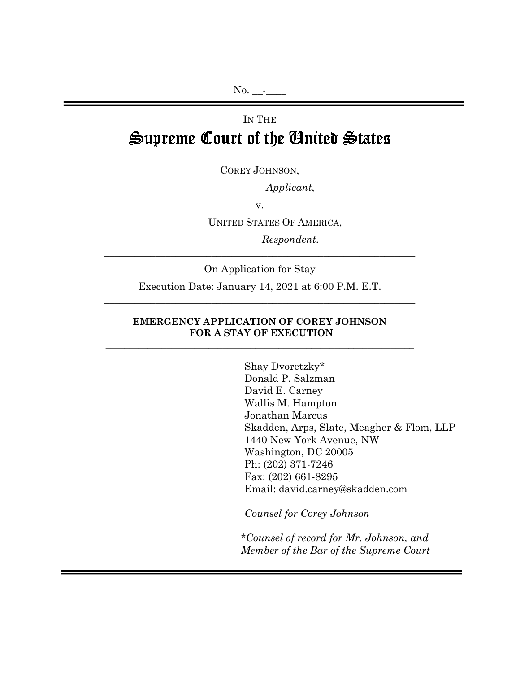# IN THE Supreme Court of the Ginited States

COREY JOHNSON,

\_\_\_\_\_\_\_\_\_\_\_\_\_\_\_\_\_\_\_\_\_\_\_\_\_\_\_\_\_\_\_\_\_\_\_\_\_\_\_\_\_\_\_\_\_\_\_\_\_\_\_\_\_\_\_\_\_\_\_\_\_

*Applicant*,

v.

UNITED STATES OF AMERICA,

*Respondent*.

On Application for Stay

\_\_\_\_\_\_\_\_\_\_\_\_\_\_\_\_\_\_\_\_\_\_\_\_\_\_\_\_\_\_\_\_\_\_\_\_\_\_\_\_\_\_\_\_\_\_\_\_\_\_\_\_\_\_\_\_\_\_\_\_\_

Execution Date: January 14, 2021 at 6:00 P.M. E.T. \_\_\_\_\_\_\_\_\_\_\_\_\_\_\_\_\_\_\_\_\_\_\_\_\_\_\_\_\_\_\_\_\_\_\_\_\_\_\_\_\_\_\_\_\_\_\_\_\_\_\_\_\_\_\_\_\_\_\_\_\_

#### **EMERGENCY APPLICATION OF COREY JOHNSON FOR A STAY OF EXECUTION \_\_\_\_\_\_\_\_\_\_\_\_\_\_\_\_\_\_\_\_\_\_\_\_\_\_\_\_\_\_\_\_\_\_\_\_\_\_\_\_\_\_\_\_\_\_\_\_\_\_\_\_\_\_\_\_\_\_\_\_\_\_\_\_\_\_**

Shay Dvoretzky\* Donald P. Salzman David E. Carney Wallis M. Hampton Jonathan Marcus Skadden, Arps, Slate, Meagher & Flom, LLP 1440 New York Avenue, NW Washington, DC 20005 Ph: (202) 371-7246 Fax: (202) 661-8295 Email: david.carney@skadden.com

*Counsel for Corey Johnson* 

*\*Counsel of record for Mr. Johnson, and Member of the Bar of the Supreme Court*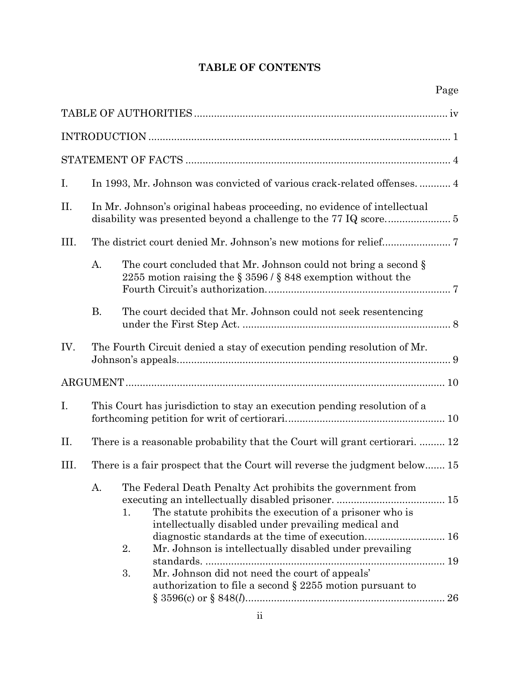## **TABLE OF CONTENTS**

| I.   | In 1993, Mr. Johnson was convicted of various crack-related offenses 4     |                                                                                                                                                                                                                                                                                                                                                                                        |  |
|------|----------------------------------------------------------------------------|----------------------------------------------------------------------------------------------------------------------------------------------------------------------------------------------------------------------------------------------------------------------------------------------------------------------------------------------------------------------------------------|--|
| П.   | In Mr. Johnson's original habeas proceeding, no evidence of intellectual   |                                                                                                                                                                                                                                                                                                                                                                                        |  |
| III. |                                                                            |                                                                                                                                                                                                                                                                                                                                                                                        |  |
|      | A.                                                                         | The court concluded that Mr. Johnson could not bring a second §<br>2255 motion raising the $\S 3596 / \S 848$ exemption without the                                                                                                                                                                                                                                                    |  |
|      | <b>B.</b>                                                                  | The court decided that Mr. Johnson could not seek resentencing                                                                                                                                                                                                                                                                                                                         |  |
| IV.  |                                                                            | The Fourth Circuit denied a stay of execution pending resolution of Mr.                                                                                                                                                                                                                                                                                                                |  |
|      |                                                                            |                                                                                                                                                                                                                                                                                                                                                                                        |  |
| I.   |                                                                            | This Court has jurisdiction to stay an execution pending resolution of a                                                                                                                                                                                                                                                                                                               |  |
| П.   |                                                                            | There is a reasonable probability that the Court will grant certiorari.  12                                                                                                                                                                                                                                                                                                            |  |
| III. | There is a fair prospect that the Court will reverse the judgment below 15 |                                                                                                                                                                                                                                                                                                                                                                                        |  |
|      |                                                                            | A. The Federal Death Penalty Act prohibits the government from<br>The statute prohibits the execution of a prisoner who is<br>1.<br>intellectually disabled under prevailing medical and<br>Mr. Johnson is intellectually disabled under prevailing<br>2.<br>3.<br>Mr. Johnson did not need the court of appeals'<br>authorization to file a second $\S$ 2255 motion pursuant to<br>26 |  |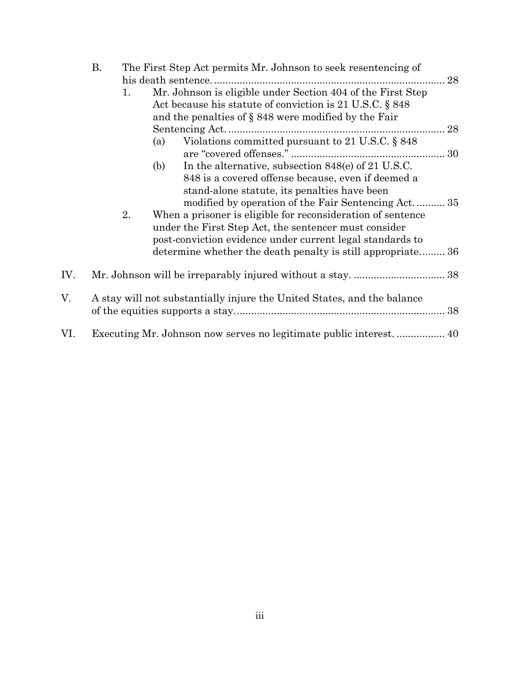|     | Β. | The First Step Act permits Mr. Johnson to seek resentencing of |                                                                                                                         |    |  |
|-----|----|----------------------------------------------------------------|-------------------------------------------------------------------------------------------------------------------------|----|--|
|     |    |                                                                | his death sentence.                                                                                                     | 28 |  |
|     |    | 1.                                                             | Mr. Johnson is eligible under Section 404 of the First Step<br>Act because his statute of conviction is 21 U.S.C. § 848 |    |  |
|     |    |                                                                | and the penalties of $\S 848$ were modified by the Fair                                                                 |    |  |
|     |    |                                                                |                                                                                                                         |    |  |
|     |    |                                                                |                                                                                                                         |    |  |
|     |    |                                                                | Violations committed pursuant to 21 U.S.C. $\S 848$<br>(a)                                                              |    |  |
|     |    |                                                                | In the alternative, subsection 848(e) of 21 U.S.C.<br>(b)                                                               |    |  |
|     |    |                                                                | 848 is a covered offense because, even if deemed a                                                                      |    |  |
|     |    |                                                                | stand-alone statute, its penalties have been                                                                            |    |  |
|     |    |                                                                | modified by operation of the Fair Sentencing Act 35                                                                     |    |  |
|     |    | 2.                                                             | When a prisoner is eligible for reconsideration of sentence                                                             |    |  |
|     |    |                                                                | under the First Step Act, the sentencer must consider                                                                   |    |  |
|     |    |                                                                | post-conviction evidence under current legal standards to                                                               |    |  |
|     |    |                                                                | determine whether the death penalty is still appropriate 36                                                             |    |  |
| IV. |    |                                                                |                                                                                                                         |    |  |
|     |    |                                                                |                                                                                                                         |    |  |
| V.  |    |                                                                | A stay will not substantially injure the United States, and the balance                                                 |    |  |
|     |    |                                                                |                                                                                                                         |    |  |
| VI. |    |                                                                |                                                                                                                         |    |  |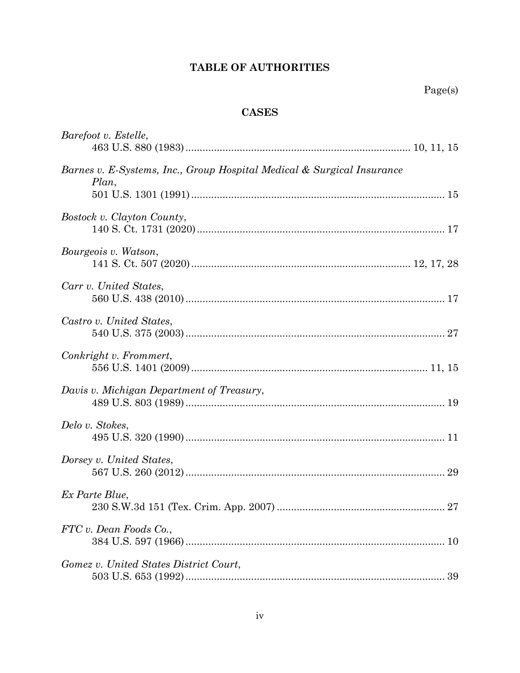## **TABLE OF AUTHORITIES**

## **CASES**

| Barefoot v. Estelle,                                                            |  |
|---------------------------------------------------------------------------------|--|
| Barnes v. E-Systems, Inc., Group Hospital Medical & Surgical Insurance<br>Plan, |  |
| Bostock v. Clayton County,                                                      |  |
| Bourgeois v. Watson,                                                            |  |
| Carr v. United States,                                                          |  |
| Castro v. United States,                                                        |  |
| Conkright v. Frommert,                                                          |  |
| Davis v. Michigan Department of Treasury,                                       |  |
| Delo v. Stokes,                                                                 |  |
| Dorsey v. United States,                                                        |  |
| Ex Parte Blue,                                                                  |  |
| FTC v. Dean Foods Co.,                                                          |  |
| Gomez v. United States District Court,                                          |  |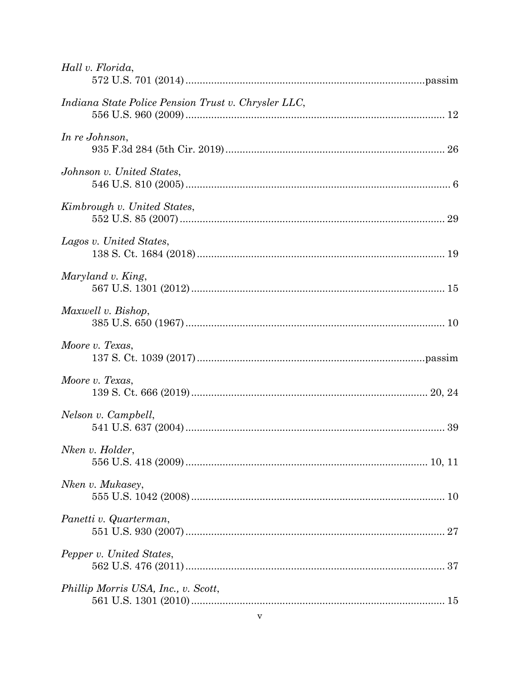| Hall v. Florida,                                    |  |
|-----------------------------------------------------|--|
| Indiana State Police Pension Trust v. Chrysler LLC, |  |
| In re Johnson,                                      |  |
| Johnson v. United States,                           |  |
| Kimbrough v. United States,                         |  |
| Lagos v. United States,                             |  |
| Maryland v. King,                                   |  |
| Maxwell v. Bishop,                                  |  |
| Moore v. Texas,                                     |  |
| Moore v. Texas,                                     |  |
| Nelson v. Campbell,                                 |  |
| Nken v. Holder,                                     |  |
| Nken v. Mukasey,                                    |  |
| Panetti v. Quarterman,                              |  |
| Pepper v. United States,                            |  |
| Phillip Morris USA, Inc., v. Scott,                 |  |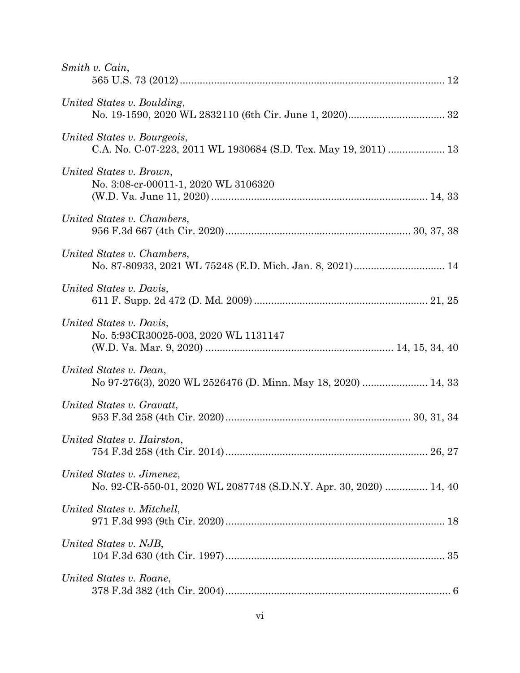| Smith v. Cain,                                                                                  |
|-------------------------------------------------------------------------------------------------|
| United States v. Boulding,                                                                      |
| United States v. Bourgeois,                                                                     |
| United States v. Brown,<br>No. 3:08-cr-00011-1, 2020 WL 3106320                                 |
| United States v. Chambers,                                                                      |
| United States v. Chambers,                                                                      |
| United States v. Davis,                                                                         |
| United States v. Davis,<br>No. 5:93CR30025-003, 2020 WL 1131147                                 |
| United States v. Dean,<br>No 97-276(3), 2020 WL 2526476 (D. Minn. May 18, 2020)  14, 33         |
| United States v. Gravatt,                                                                       |
| United States v. Hairston,                                                                      |
| United States v. Jimenez,<br>No. 92-CR-550-01, 2020 WL 2087748 (S.D.N.Y. Apr. 30, 2020)  14, 40 |
| United States v. Mitchell,                                                                      |
| United States v. NJB,                                                                           |
| United States v. Roane,                                                                         |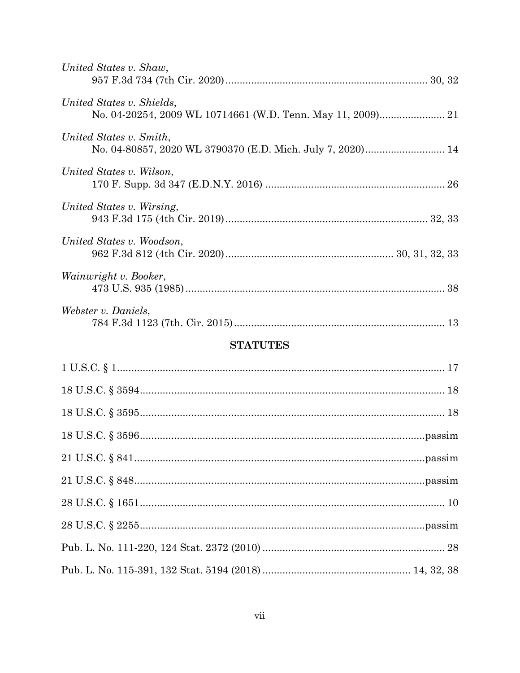| United States v. Shaw,                                                                   |  |
|------------------------------------------------------------------------------------------|--|
| United States v. Shields,<br>No. 04-20254, 2009 WL 10714661 (W.D. Tenn. May 11, 2009) 21 |  |
| United States v. Smith,<br>No. 04-80857, 2020 WL 3790370 (E.D. Mich. July 7, 2020) 14    |  |
| United States v. Wilson,                                                                 |  |
| United States v. Wirsing,                                                                |  |
| United States v. Woodson,                                                                |  |
| Wainwright v. Booker,                                                                    |  |
| Webster v. Daniels,                                                                      |  |
| <b>STATUTES</b>                                                                          |  |
|                                                                                          |  |
|                                                                                          |  |
|                                                                                          |  |
|                                                                                          |  |
|                                                                                          |  |
|                                                                                          |  |
|                                                                                          |  |
|                                                                                          |  |
|                                                                                          |  |
|                                                                                          |  |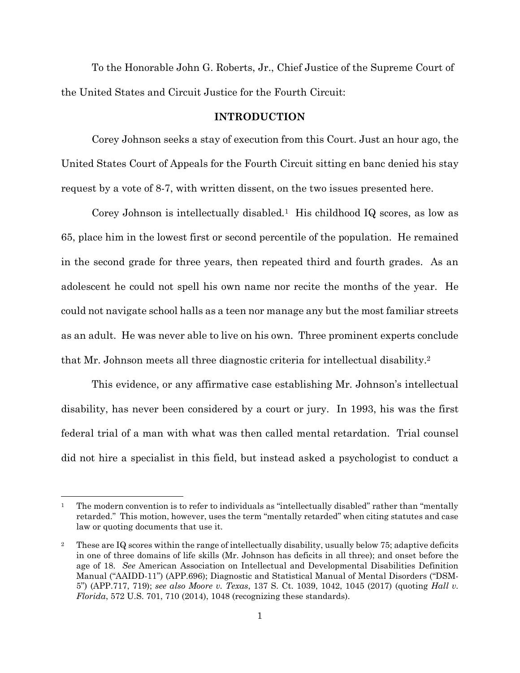To the Honorable John G. Roberts, Jr., Chief Justice of the Supreme Court of the United States and Circuit Justice for the Fourth Circuit:

#### **INTRODUCTION**

Corey Johnson seeks a stay of execution from this Court. Just an hour ago, the United States Court of Appeals for the Fourth Circuit sitting en banc denied his stay request by a vote of 8-7, with written dissent, on the two issues presented here.

Corey Johnson is intellectually disabled*.* <sup>1</sup> His childhood IQ scores, as low as 65, place him in the lowest first or second percentile of the population. He remained in the second grade for three years, then repeated third and fourth grades. As an adolescent he could not spell his own name nor recite the months of the year. He could not navigate school halls as a teen nor manage any but the most familiar streets as an adult. He was never able to live on his own. Three prominent experts conclude that Mr. Johnson meets all three diagnostic criteria for intellectual disability.<sup>2</sup>

This evidence, or any affirmative case establishing Mr. Johnson's intellectual disability, has never been considered by a court or jury. In 1993, his was the first federal trial of a man with what was then called mental retardation. Trial counsel did not hire a specialist in this field, but instead asked a psychologist to conduct a

<sup>&</sup>lt;sup>1</sup> The modern convention is to refer to individuals as "intellectually disabled" rather than "mentally retarded." This motion, however, uses the term "mentally retarded" when citing statutes and case law or quoting documents that use it.

<sup>2</sup> These are IQ scores within the range of intellectually disability, usually below 75; adaptive deficits in one of three domains of life skills (Mr. Johnson has deficits in all three); and onset before the age of 18. *See* American Association on Intellectual and Developmental Disabilities Definition Manual ("AAIDD-11") (APP.696); Diagnostic and Statistical Manual of Mental Disorders ("DSM-5") (APP.717, 719); *see also Moore v. Texas*, 137 S. Ct. 1039, 1042, 1045 (2017) (quoting *Hall v. Florida*, 572 U.S. 701, 710 (2014), 1048 (recognizing these standards).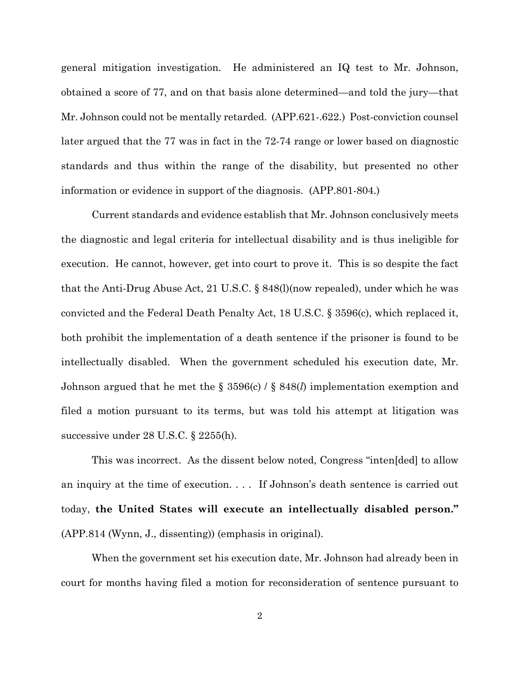general mitigation investigation. He administered an IQ test to Mr. Johnson, obtained a score of 77, and on that basis alone determined—and told the jury—that Mr. Johnson could not be mentally retarded. (APP.621-.622.) Post-conviction counsel later argued that the 77 was in fact in the 72-74 range or lower based on diagnostic standards and thus within the range of the disability, but presented no other information or evidence in support of the diagnosis. (APP.801-804.)

Current standards and evidence establish that Mr. Johnson conclusively meets the diagnostic and legal criteria for intellectual disability and is thus ineligible for execution. He cannot, however, get into court to prove it. This is so despite the fact that the Anti-Drug Abuse Act, 21 U.S.C. § 848(l)(now repealed), under which he was convicted and the Federal Death Penalty Act, 18 U.S.C. § 3596(c), which replaced it, both prohibit the implementation of a death sentence if the prisoner is found to be intellectually disabled. When the government scheduled his execution date, Mr. Johnson argued that he met the § 3596(c) / § 848(*l*) implementation exemption and filed a motion pursuant to its terms, but was told his attempt at litigation was successive under 28 U.S.C. § 2255(h).

This was incorrect. As the dissent below noted, Congress "inten[ded] to allow an inquiry at the time of execution. . . . If Johnson's death sentence is carried out today, **the United States will execute an intellectually disabled person."** (APP.814 (Wynn, J., dissenting)) (emphasis in original).

When the government set his execution date, Mr. Johnson had already been in court for months having filed a motion for reconsideration of sentence pursuant to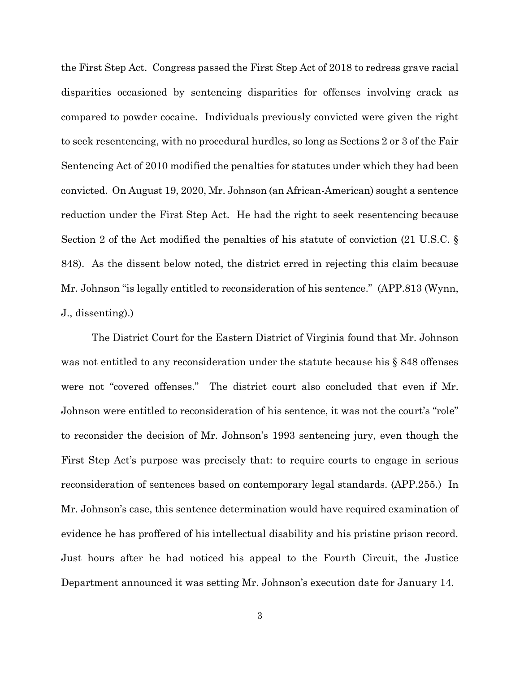the First Step Act. Congress passed the First Step Act of 2018 to redress grave racial disparities occasioned by sentencing disparities for offenses involving crack as compared to powder cocaine. Individuals previously convicted were given the right to seek resentencing, with no procedural hurdles, so long as Sections 2 or 3 of the Fair Sentencing Act of 2010 modified the penalties for statutes under which they had been convicted. On August 19, 2020, Mr. Johnson (an African-American) sought a sentence reduction under the First Step Act. He had the right to seek resentencing because Section 2 of the Act modified the penalties of his statute of conviction (21 U.S.C. § 848). As the dissent below noted, the district erred in rejecting this claim because Mr. Johnson "is legally entitled to reconsideration of his sentence." (APP.813 (Wynn, J., dissenting).)

The District Court for the Eastern District of Virginia found that Mr. Johnson was not entitled to any reconsideration under the statute because his § 848 offenses were not "covered offenses." The district court also concluded that even if Mr. Johnson were entitled to reconsideration of his sentence, it was not the court's "role" to reconsider the decision of Mr. Johnson's 1993 sentencing jury, even though the First Step Act's purpose was precisely that: to require courts to engage in serious reconsideration of sentences based on contemporary legal standards. (APP.255.) In Mr. Johnson's case, this sentence determination would have required examination of evidence he has proffered of his intellectual disability and his pristine prison record. Just hours after he had noticed his appeal to the Fourth Circuit, the Justice Department announced it was setting Mr. Johnson's execution date for January 14.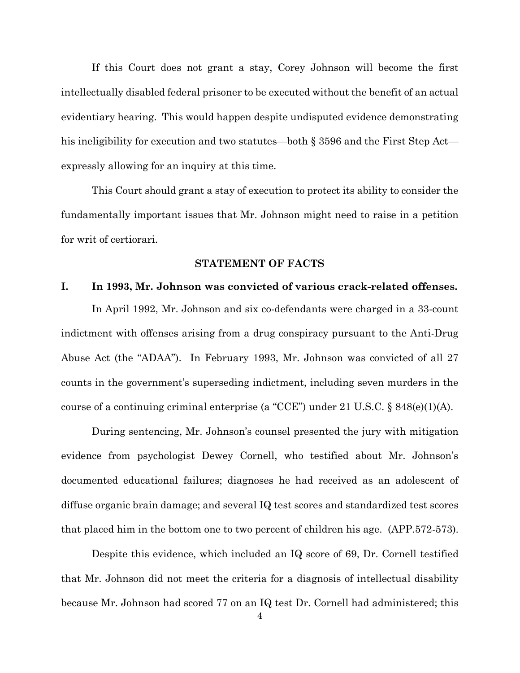If this Court does not grant a stay, Corey Johnson will become the first intellectually disabled federal prisoner to be executed without the benefit of an actual evidentiary hearing. This would happen despite undisputed evidence demonstrating his ineligibility for execution and two statutes—both § 3596 and the First Step Act expressly allowing for an inquiry at this time.

This Court should grant a stay of execution to protect its ability to consider the fundamentally important issues that Mr. Johnson might need to raise in a petition for writ of certiorari.

#### **STATEMENT OF FACTS**

#### **I. In 1993, Mr. Johnson was convicted of various crack-related offenses.**

In April 1992, Mr. Johnson and six co-defendants were charged in a 33-count indictment with offenses arising from a drug conspiracy pursuant to the Anti-Drug Abuse Act (the "ADAA"). In February 1993, Mr. Johnson was convicted of all 27 counts in the government's superseding indictment, including seven murders in the course of a continuing criminal enterprise (a "CCE") under 21 U.S.C. § 848(e)(1)(A).

During sentencing, Mr. Johnson's counsel presented the jury with mitigation evidence from psychologist Dewey Cornell, who testified about Mr. Johnson's documented educational failures; diagnoses he had received as an adolescent of diffuse organic brain damage; and several IQ test scores and standardized test scores that placed him in the bottom one to two percent of children his age. (APP.572-573).

Despite this evidence, which included an IQ score of 69, Dr. Cornell testified that Mr. Johnson did not meet the criteria for a diagnosis of intellectual disability because Mr. Johnson had scored 77 on an IQ test Dr. Cornell had administered; this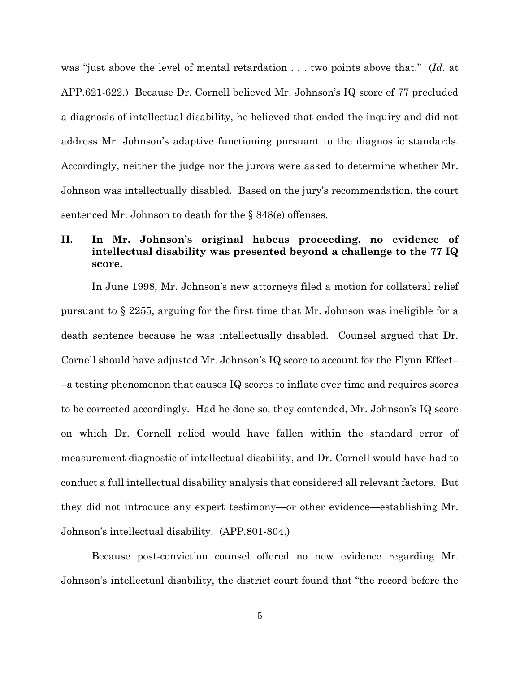was "just above the level of mental retardation . . . two points above that." (*Id.* at APP.621-622.) Because Dr. Cornell believed Mr. Johnson's IQ score of 77 precluded a diagnosis of intellectual disability, he believed that ended the inquiry and did not address Mr. Johnson's adaptive functioning pursuant to the diagnostic standards. Accordingly, neither the judge nor the jurors were asked to determine whether Mr. Johnson was intellectually disabled. Based on the jury's recommendation, the court sentenced Mr. Johnson to death for the § 848(e) offenses.

## **II. In Mr. Johnson's original habeas proceeding, no evidence of intellectual disability was presented beyond a challenge to the 77 IQ score.**

In June 1998, Mr. Johnson's new attorneys filed a motion for collateral relief pursuant to § 2255, arguing for the first time that Mr. Johnson was ineligible for a death sentence because he was intellectually disabled. Counsel argued that Dr. Cornell should have adjusted Mr. Johnson's IQ score to account for the Flynn Effect– –a testing phenomenon that causes IQ scores to inflate over time and requires scores to be corrected accordingly. Had he done so, they contended, Mr. Johnson's IQ score on which Dr. Cornell relied would have fallen within the standard error of measurement diagnostic of intellectual disability, and Dr. Cornell would have had to conduct a full intellectual disability analysis that considered all relevant factors. But they did not introduce any expert testimony—or other evidence—establishing Mr. Johnson's intellectual disability. (APP.801-804.)

Because post-conviction counsel offered no new evidence regarding Mr. Johnson's intellectual disability, the district court found that "the record before the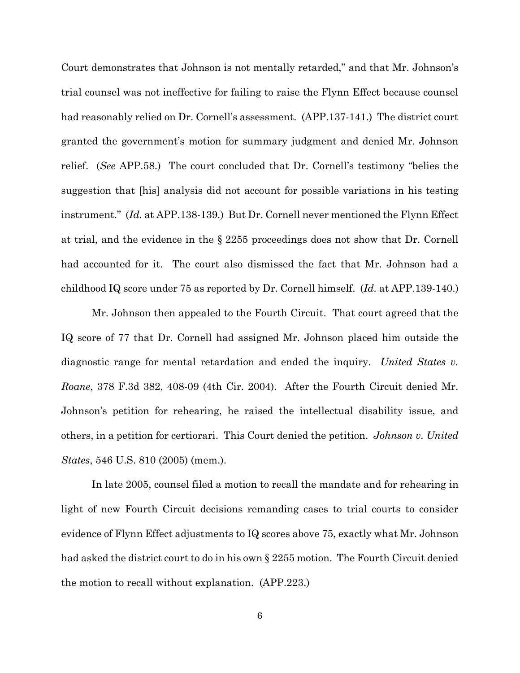Court demonstrates that Johnson is not mentally retarded," and that Mr. Johnson's trial counsel was not ineffective for failing to raise the Flynn Effect because counsel had reasonably relied on Dr. Cornell's assessment. (APP.137-141.) The district court granted the government's motion for summary judgment and denied Mr. Johnson relief. (*See* APP.58.) The court concluded that Dr. Cornell's testimony "belies the suggestion that [his] analysis did not account for possible variations in his testing instrument." (*Id.* at APP.138-139.) But Dr. Cornell never mentioned the Flynn Effect at trial, and the evidence in the § 2255 proceedings does not show that Dr. Cornell had accounted for it. The court also dismissed the fact that Mr. Johnson had a childhood IQ score under 75 as reported by Dr. Cornell himself. (*Id.* at APP.139-140.)

Mr. Johnson then appealed to the Fourth Circuit. That court agreed that the IQ score of 77 that Dr. Cornell had assigned Mr. Johnson placed him outside the diagnostic range for mental retardation and ended the inquiry. *United States v. Roane*, 378 F.3d 382, 408-09 (4th Cir. 2004). After the Fourth Circuit denied Mr. Johnson's petition for rehearing, he raised the intellectual disability issue, and others, in a petition for certiorari. This Court denied the petition. *Johnson v. United States*, 546 U.S. 810 (2005) (mem.).

In late 2005, counsel filed a motion to recall the mandate and for rehearing in light of new Fourth Circuit decisions remanding cases to trial courts to consider evidence of Flynn Effect adjustments to IQ scores above 75, exactly what Mr. Johnson had asked the district court to do in his own § 2255 motion. The Fourth Circuit denied the motion to recall without explanation. (APP.223.)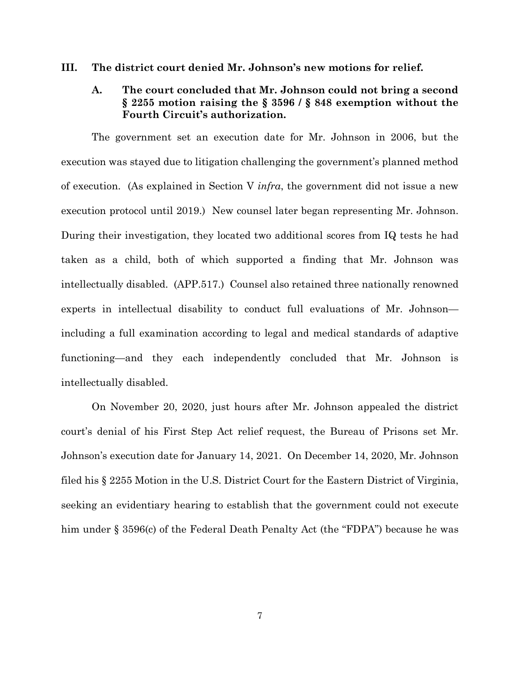#### **III. The district court denied Mr. Johnson's new motions for relief.**

### **A. The court concluded that Mr. Johnson could not bring a second § 2255 motion raising the § 3596 / § 848 exemption without the Fourth Circuit's authorization.**

The government set an execution date for Mr. Johnson in 2006, but the execution was stayed due to litigation challenging the government's planned method of execution. (As explained in Section V *infra*, the government did not issue a new execution protocol until 2019.) New counsel later began representing Mr. Johnson. During their investigation, they located two additional scores from IQ tests he had taken as a child, both of which supported a finding that Mr. Johnson was intellectually disabled. (APP.517.) Counsel also retained three nationally renowned experts in intellectual disability to conduct full evaluations of Mr. Johnson including a full examination according to legal and medical standards of adaptive functioning—and they each independently concluded that Mr. Johnson is intellectually disabled.

On November 20, 2020, just hours after Mr. Johnson appealed the district court's denial of his First Step Act relief request, the Bureau of Prisons set Mr. Johnson's execution date for January 14, 2021. On December 14, 2020, Mr. Johnson filed his § 2255 Motion in the U.S. District Court for the Eastern District of Virginia, seeking an evidentiary hearing to establish that the government could not execute him under § 3596(c) of the Federal Death Penalty Act (the "FDPA") because he was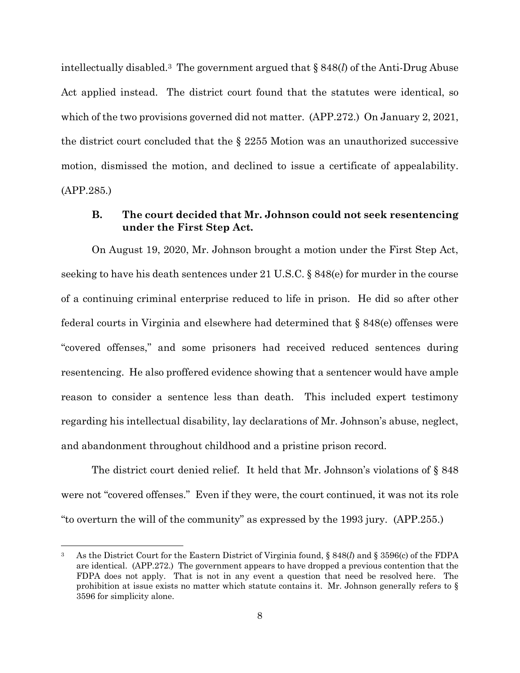intellectually disabled.3 The government argued that § 848(*l*) of the Anti-Drug Abuse Act applied instead. The district court found that the statutes were identical, so which of the two provisions governed did not matter. (APP.272.) On January 2, 2021, the district court concluded that the § 2255 Motion was an unauthorized successive motion, dismissed the motion, and declined to issue a certificate of appealability. (APP.285.)

#### **B. The court decided that Mr. Johnson could not seek resentencing under the First Step Act.**

On August 19, 2020, Mr. Johnson brought a motion under the First Step Act, seeking to have his death sentences under 21 U.S.C. § 848(e) for murder in the course of a continuing criminal enterprise reduced to life in prison. He did so after other federal courts in Virginia and elsewhere had determined that § 848(e) offenses were "covered offenses," and some prisoners had received reduced sentences during resentencing. He also proffered evidence showing that a sentencer would have ample reason to consider a sentence less than death. This included expert testimony regarding his intellectual disability, lay declarations of Mr. Johnson's abuse, neglect, and abandonment throughout childhood and a pristine prison record.

The district court denied relief. It held that Mr. Johnson's violations of § 848 were not "covered offenses." Even if they were, the court continued, it was not its role "to overturn the will of the community" as expressed by the 1993 jury. (APP.255.)

<sup>3</sup> As the District Court for the Eastern District of Virginia found, § 848(*l*) and § 3596(c) of the FDPA are identical. (APP.272.) The government appears to have dropped a previous contention that the FDPA does not apply. That is not in any event a question that need be resolved here. The prohibition at issue exists no matter which statute contains it. Mr. Johnson generally refers to  $\S$ 3596 for simplicity alone.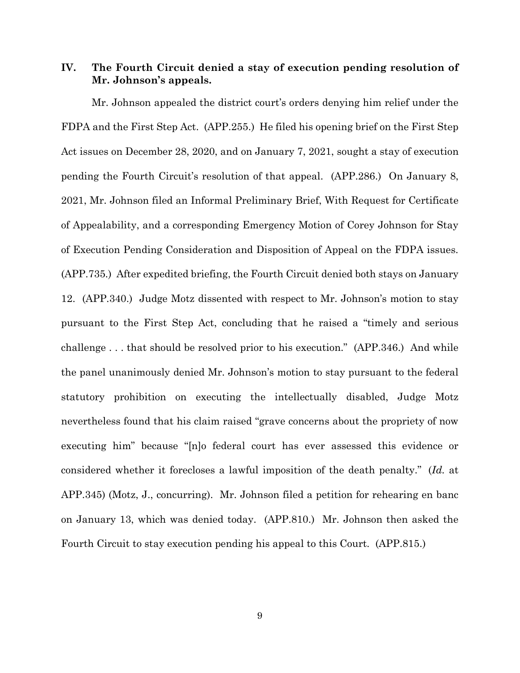### **IV. The Fourth Circuit denied a stay of execution pending resolution of Mr. Johnson's appeals.**

Mr. Johnson appealed the district court's orders denying him relief under the FDPA and the First Step Act. (APP.255.) He filed his opening brief on the First Step Act issues on December 28, 2020, and on January 7, 2021, sought a stay of execution pending the Fourth Circuit's resolution of that appeal. (APP.286.) On January 8, 2021, Mr. Johnson filed an Informal Preliminary Brief, With Request for Certificate of Appealability, and a corresponding Emergency Motion of Corey Johnson for Stay of Execution Pending Consideration and Disposition of Appeal on the FDPA issues. (APP.735.) After expedited briefing, the Fourth Circuit denied both stays on January 12. (APP.340.) Judge Motz dissented with respect to Mr. Johnson's motion to stay pursuant to the First Step Act, concluding that he raised a "timely and serious challenge . . . that should be resolved prior to his execution." (APP.346.) And while the panel unanimously denied Mr. Johnson's motion to stay pursuant to the federal statutory prohibition on executing the intellectually disabled, Judge Motz nevertheless found that his claim raised "grave concerns about the propriety of now executing him" because "[n]o federal court has ever assessed this evidence or considered whether it forecloses a lawful imposition of the death penalty." (*Id.* at APP.345) (Motz, J., concurring). Mr. Johnson filed a petition for rehearing en banc on January 13, which was denied today. (APP.810.) Mr. Johnson then asked the Fourth Circuit to stay execution pending his appeal to this Court. (APP.815.)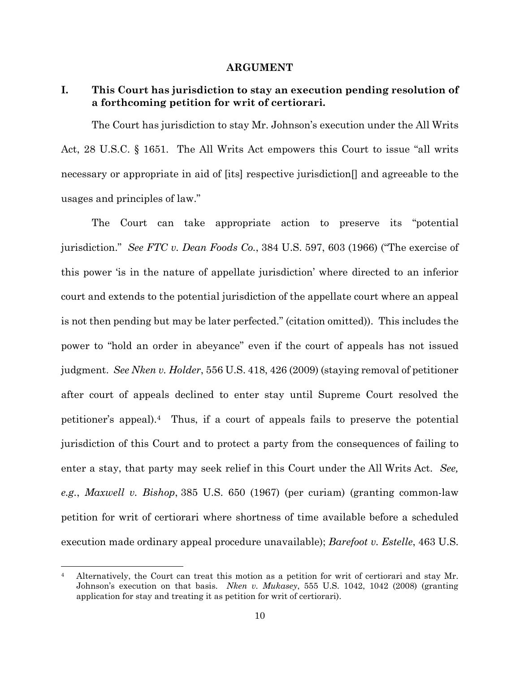#### **ARGUMENT**

## **I. This Court has jurisdiction to stay an execution pending resolution of a forthcoming petition for writ of certiorari.**

The Court has jurisdiction to stay Mr. Johnson's execution under the All Writs Act, 28 U.S.C. § 1651. The All Writs Act empowers this Court to issue "all writs necessary or appropriate in aid of [its] respective jurisdiction[] and agreeable to the usages and principles of law."

The Court can take appropriate action to preserve its "potential jurisdiction." *See FTC v. Dean Foods Co.*, 384 U.S. 597, 603 (1966) ("The exercise of this power 'is in the nature of appellate jurisdiction' where directed to an inferior court and extends to the potential jurisdiction of the appellate court where an appeal is not then pending but may be later perfected." (citation omitted)). This includes the power to "hold an order in abeyance" even if the court of appeals has not issued judgment. *See Nken v. Holder*, 556 U.S. 418, 426 (2009) (staying removal of petitioner after court of appeals declined to enter stay until Supreme Court resolved the petitioner's appeal).4 Thus, if a court of appeals fails to preserve the potential jurisdiction of this Court and to protect a party from the consequences of failing to enter a stay, that party may seek relief in this Court under the All Writs Act. *See, e.g.*, *Maxwell v. Bishop*, 385 U.S. 650 (1967) (per curiam) (granting common-law petition for writ of certiorari where shortness of time available before a scheduled execution made ordinary appeal procedure unavailable); *Barefoot v. Estelle*, 463 U.S.

<sup>&</sup>lt;sup>4</sup> Alternatively, the Court can treat this motion as a petition for writ of certiorari and stay Mr. Johnson's execution on that basis. *Nken v. Mukasey*, 555 U.S. 1042, 1042 (2008) (granting application for stay and treating it as petition for writ of certiorari).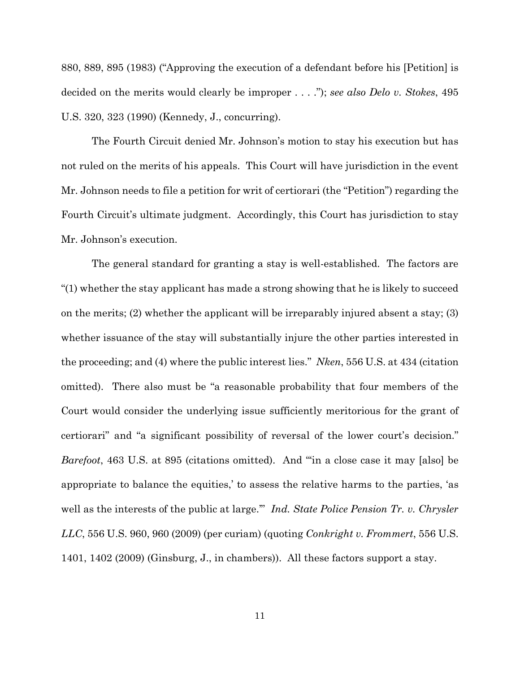880, 889, 895 (1983) ("Approving the execution of a defendant before his [Petition] is decided on the merits would clearly be improper . . . ."); *see also Delo v. Stokes*, 495 U.S. 320, 323 (1990) (Kennedy, J., concurring).

The Fourth Circuit denied Mr. Johnson's motion to stay his execution but has not ruled on the merits of his appeals. This Court will have jurisdiction in the event Mr. Johnson needs to file a petition for writ of certiorari (the "Petition") regarding the Fourth Circuit's ultimate judgment. Accordingly, this Court has jurisdiction to stay Mr. Johnson's execution.

The general standard for granting a stay is well-established. The factors are "(1) whether the stay applicant has made a strong showing that he is likely to succeed on the merits; (2) whether the applicant will be irreparably injured absent a stay; (3) whether issuance of the stay will substantially injure the other parties interested in the proceeding; and (4) where the public interest lies." *Nken*, 556 U.S. at 434 (citation omitted). There also must be "a reasonable probability that four members of the Court would consider the underlying issue sufficiently meritorious for the grant of certiorari" and "a significant possibility of reversal of the lower court's decision." *Barefoot*, 463 U.S. at 895 (citations omitted). And "'in a close case it may [also] be appropriate to balance the equities,' to assess the relative harms to the parties, 'as well as the interests of the public at large." *Ind. State Police Pension Tr. v. Chrysler LLC*, 556 U.S. 960, 960 (2009) (per curiam) (quoting *Conkright v. Frommert*, 556 U.S. 1401, 1402 (2009) (Ginsburg, J., in chambers)). All these factors support a stay.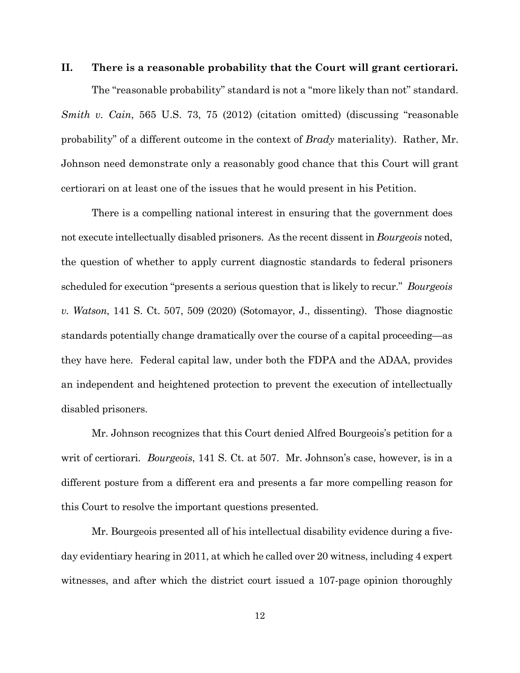#### **II. There is a reasonable probability that the Court will grant certiorari.**

The "reasonable probability" standard is not a "more likely than not" standard. *Smith v. Cain*, 565 U.S. 73, 75 (2012) (citation omitted) (discussing "reasonable probability" of a different outcome in the context of *Brady* materiality). Rather, Mr. Johnson need demonstrate only a reasonably good chance that this Court will grant certiorari on at least one of the issues that he would present in his Petition.

There is a compelling national interest in ensuring that the government does not execute intellectually disabled prisoners. As the recent dissent in *Bourgeois* noted, the question of whether to apply current diagnostic standards to federal prisoners scheduled for execution "presents a serious question that is likely to recur." *Bourgeois v. Watson*, 141 S. Ct. 507, 509 (2020) (Sotomayor, J., dissenting). Those diagnostic standards potentially change dramatically over the course of a capital proceeding—as they have here. Federal capital law, under both the FDPA and the ADAA, provides an independent and heightened protection to prevent the execution of intellectually disabled prisoners.

Mr. Johnson recognizes that this Court denied Alfred Bourgeois's petition for a writ of certiorari. *Bourgeois*, 141 S. Ct. at 507. Mr. Johnson's case, however, is in a different posture from a different era and presents a far more compelling reason for this Court to resolve the important questions presented.

Mr. Bourgeois presented all of his intellectual disability evidence during a fiveday evidentiary hearing in 2011, at which he called over 20 witness, including 4 expert witnesses, and after which the district court issued a 107-page opinion thoroughly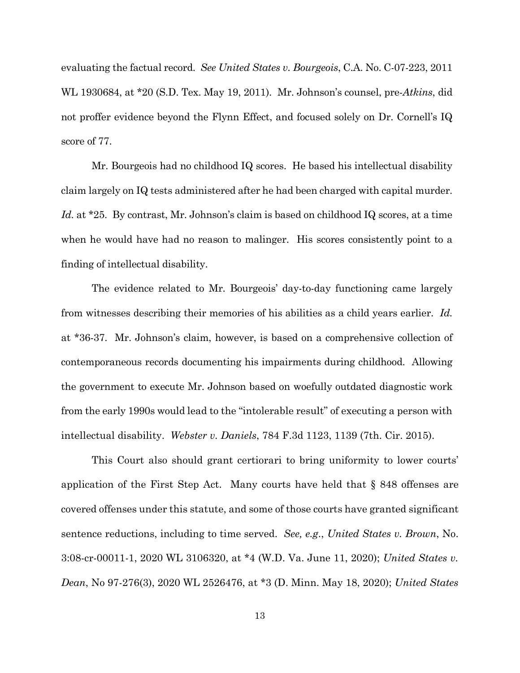evaluating the factual record. *See United States v. Bourgeois*, C.A. No. C-07-223, 2011 WL 1930684, at \*20 (S.D. Tex. May 19, 2011). Mr. Johnson's counsel, pre-*Atkins*, did not proffer evidence beyond the Flynn Effect, and focused solely on Dr. Cornell's IQ score of 77.

Mr. Bourgeois had no childhood IQ scores. He based his intellectual disability claim largely on IQ tests administered after he had been charged with capital murder. Id. at \*25. By contrast, Mr. Johnson's claim is based on childhood IQ scores, at a time when he would have had no reason to malinger. His scores consistently point to a finding of intellectual disability.

The evidence related to Mr. Bourgeois' day-to-day functioning came largely from witnesses describing their memories of his abilities as a child years earlier. *Id.* at \*36-37. Mr. Johnson's claim, however, is based on a comprehensive collection of contemporaneous records documenting his impairments during childhood. Allowing the government to execute Mr. Johnson based on woefully outdated diagnostic work from the early 1990s would lead to the "intolerable result" of executing a person with intellectual disability. *Webster v. Daniels*, 784 F.3d 1123, 1139 (7th. Cir. 2015).

This Court also should grant certiorari to bring uniformity to lower courts' application of the First Step Act. Many courts have held that § 848 offenses are covered offenses under this statute, and some of those courts have granted significant sentence reductions, including to time served. *See, e.g*., *United States v. Brown*, No. 3:08-cr-00011-1, 2020 WL 3106320, at \*4 (W.D. Va. June 11, 2020); *United States v. Dean*, No 97-276(3), 2020 WL 2526476, at \*3 (D. Minn. May 18, 2020); *United States*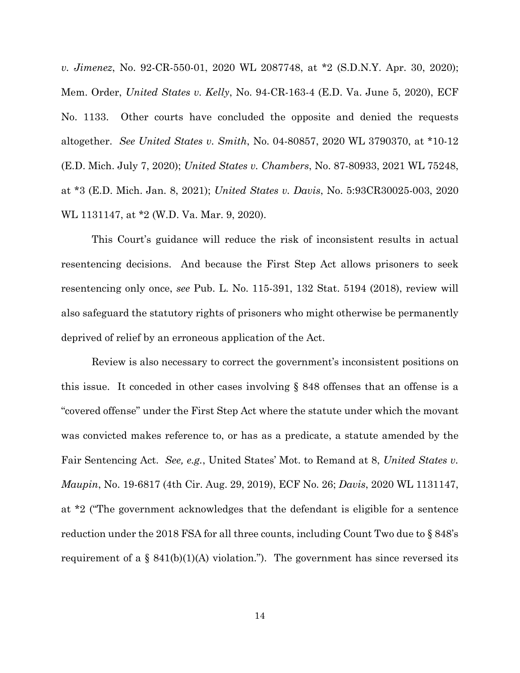*v. Jimenez*, No. 92-CR-550-01, 2020 WL 2087748, at \*2 (S.D.N.Y. Apr. 30, 2020); Mem. Order, *United States v. Kelly*, No. 94-CR-163-4 (E.D. Va. June 5, 2020), ECF No. 1133. Other courts have concluded the opposite and denied the requests altogether. *See United States v. Smith*, No. 04-80857, 2020 WL 3790370, at \*10-12 (E.D. Mich. July 7, 2020); *United States v. Chambers*, No. 87-80933, 2021 WL 75248, at \*3 (E.D. Mich. Jan. 8, 2021); *United States v. Davis*, No. 5:93CR30025-003, 2020 WL 1131147, at \*2 (W.D. Va. Mar. 9, 2020).

This Court's guidance will reduce the risk of inconsistent results in actual resentencing decisions. And because the First Step Act allows prisoners to seek resentencing only once, *see* Pub. L. No. 115-391, 132 Stat. 5194 (2018), review will also safeguard the statutory rights of prisoners who might otherwise be permanently deprived of relief by an erroneous application of the Act.

Review is also necessary to correct the government's inconsistent positions on this issue. It conceded in other cases involving  $\S$  848 offenses that an offense is a "covered offense" under the First Step Act where the statute under which the movant was convicted makes reference to, or has as a predicate, a statute amended by the Fair Sentencing Act. *See, e.g.*, United States' Mot. to Remand at 8, *United States v. Maupin*, No. 19-6817 (4th Cir. Aug. 29, 2019), ECF No. 26; *Davis*, 2020 WL 1131147, at \*2 ("The government acknowledges that the defendant is eligible for a sentence reduction under the 2018 FSA for all three counts, including Count Two due to § 848's requirement of a  $\S$  841(b)(1)(A) violation."). The government has since reversed its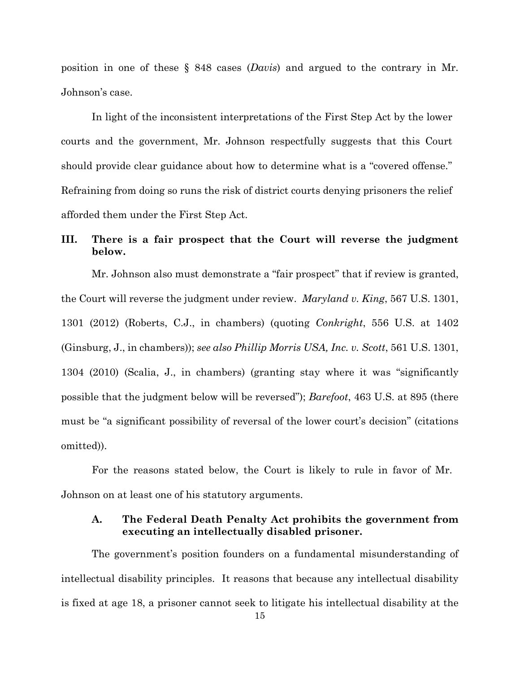position in one of these § 848 cases (*Davis*) and argued to the contrary in Mr. Johnson's case.

In light of the inconsistent interpretations of the First Step Act by the lower courts and the government, Mr. Johnson respectfully suggests that this Court should provide clear guidance about how to determine what is a "covered offense." Refraining from doing so runs the risk of district courts denying prisoners the relief afforded them under the First Step Act.

## **III. There is a fair prospect that the Court will reverse the judgment below.**

Mr. Johnson also must demonstrate a "fair prospect" that if review is granted, the Court will reverse the judgment under review. *Maryland v. King*, 567 U.S. 1301, 1301 (2012) (Roberts, C.J., in chambers) (quoting *Conkright*, 556 U.S. at 1402 (Ginsburg, J., in chambers)); *see also Phillip Morris USA, Inc. v. Scott*, 561 U.S. 1301, 1304 (2010) (Scalia, J., in chambers) (granting stay where it was "significantly possible that the judgment below will be reversed"); *Barefoot*, 463 U.S. at 895 (there must be "a significant possibility of reversal of the lower court's decision" (citations omitted)).

For the reasons stated below, the Court is likely to rule in favor of Mr. Johnson on at least one of his statutory arguments.

## **A. The Federal Death Penalty Act prohibits the government from executing an intellectually disabled prisoner.**

The government's position founders on a fundamental misunderstanding of intellectual disability principles. It reasons that because any intellectual disability is fixed at age 18, a prisoner cannot seek to litigate his intellectual disability at the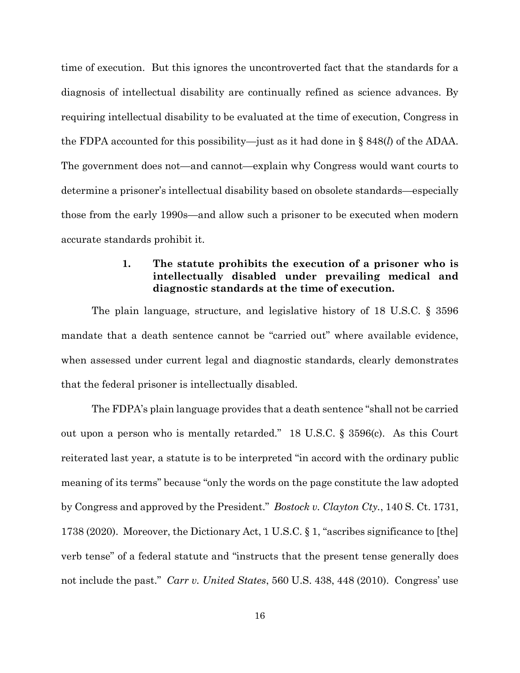time of execution. But this ignores the uncontroverted fact that the standards for a diagnosis of intellectual disability are continually refined as science advances. By requiring intellectual disability to be evaluated at the time of execution, Congress in the FDPA accounted for this possibility—just as it had done in § 848(*l*) of the ADAA. The government does not—and cannot—explain why Congress would want courts to determine a prisoner's intellectual disability based on obsolete standards—especially those from the early 1990s—and allow such a prisoner to be executed when modern accurate standards prohibit it.

#### **1. The statute prohibits the execution of a prisoner who is intellectually disabled under prevailing medical and diagnostic standards at the time of execution.**

The plain language, structure, and legislative history of 18 U.S.C. § 3596 mandate that a death sentence cannot be "carried out" where available evidence, when assessed under current legal and diagnostic standards, clearly demonstrates that the federal prisoner is intellectually disabled.

The FDPA's plain language provides that a death sentence "shall not be carried out upon a person who is mentally retarded." 18 U.S.C. § 3596(c). As this Court reiterated last year, a statute is to be interpreted "in accord with the ordinary public meaning of its terms" because "only the words on the page constitute the law adopted by Congress and approved by the President." *Bostock v. Clayton Cty.*, 140 S. Ct. 1731, 1738 (2020). Moreover, the Dictionary Act, 1 U.S.C. § 1, "ascribes significance to [the] verb tense" of a federal statute and "instructs that the present tense generally does not include the past." *Carr v. United States*, 560 U.S. 438, 448 (2010). Congress' use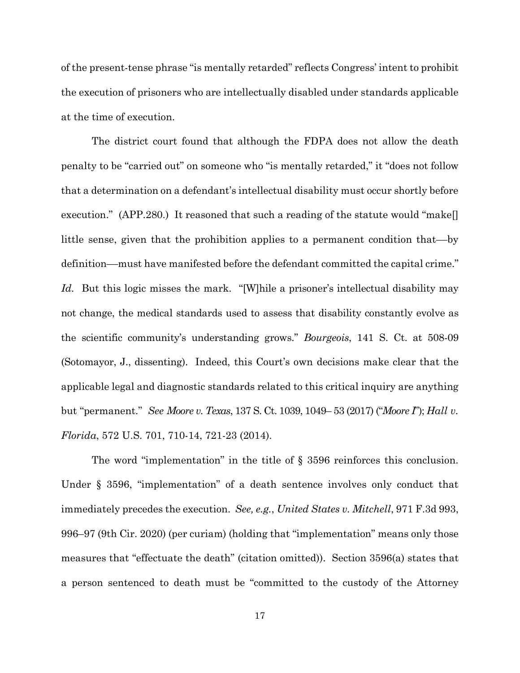of the present-tense phrase "is mentally retarded" reflects Congress' intent to prohibit the execution of prisoners who are intellectually disabled under standards applicable at the time of execution.

The district court found that although the FDPA does not allow the death penalty to be "carried out" on someone who "is mentally retarded," it "does not follow that a determination on a defendant's intellectual disability must occur shortly before execution." (APP.280.) It reasoned that such a reading of the statute would "make[] little sense, given that the prohibition applies to a permanent condition that––by definition––must have manifested before the defendant committed the capital crime." Id. But this logic misses the mark. "[W]hile a prisoner's intellectual disability may not change, the medical standards used to assess that disability constantly evolve as the scientific community's understanding grows." *Bourgeois*, 141 S. Ct. at 508-09 (Sotomayor, J., dissenting). Indeed, this Court's own decisions make clear that the applicable legal and diagnostic standards related to this critical inquiry are anything but "permanent." *See Moore v. Texas*, 137 S. Ct. 1039, 1049– 53 (2017) ("*Moore I*"); *Hall v. Florida*, 572 U.S. 701, 710-14, 721-23 (2014).

The word "implementation" in the title of § 3596 reinforces this conclusion. Under § 3596, "implementation" of a death sentence involves only conduct that immediately precedes the execution. *See, e.g.*, *United States v. Mitchell*, 971 F.3d 993, 996–97 (9th Cir. 2020) (per curiam) (holding that "implementation" means only those measures that "effectuate the death" (citation omitted)). Section 3596(a) states that a person sentenced to death must be "committed to the custody of the Attorney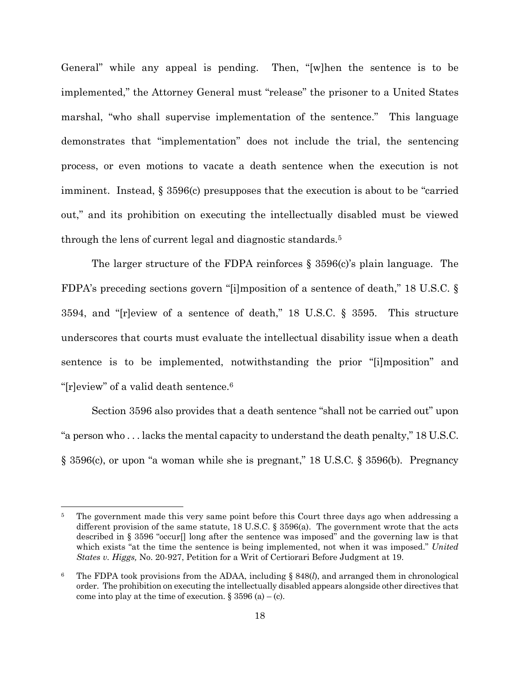General" while any appeal is pending. Then, "[w]hen the sentence is to be implemented," the Attorney General must "release" the prisoner to a United States marshal, "who shall supervise implementation of the sentence." This language demonstrates that "implementation" does not include the trial, the sentencing process, or even motions to vacate a death sentence when the execution is not imminent. Instead, § 3596(c) presupposes that the execution is about to be "carried out," and its prohibition on executing the intellectually disabled must be viewed through the lens of current legal and diagnostic standards.<sup>5</sup>

The larger structure of the FDPA reinforces  $\S$  3596(c)'s plain language. The FDPA's preceding sections govern "[i]mposition of a sentence of death," 18 U.S.C. § 3594, and "[r]eview of a sentence of death," 18 U.S.C. § 3595. This structure underscores that courts must evaluate the intellectual disability issue when a death sentence is to be implemented, notwithstanding the prior "[i]mposition" and "[r]eview" of a valid death sentence.<sup>6</sup>

Section 3596 also provides that a death sentence "shall not be carried out" upon "a person who . . . lacks the mental capacity to understand the death penalty," 18 U.S.C. § 3596(c), or upon "a woman while she is pregnant," 18 U.S.C. § 3596(b). Pregnancy

The government made this very same point before this Court three days ago when addressing a different provision of the same statute, 18 U.S.C. § 3596(a). The government wrote that the acts described in § 3596 "occur[] long after the sentence was imposed" and the governing law is that which exists "at the time the sentence is being implemented, not when it was imposed." *United States v. Higgs,* No. 20-927, Petition for a Writ of Certiorari Before Judgment at 19.

<sup>6</sup> The FDPA took provisions from the ADAA, including § 848(*l*), and arranged them in chronological order. The prohibition on executing the intellectually disabled appears alongside other directives that come into play at the time of execution.  $\S 3596$  (a) – (c).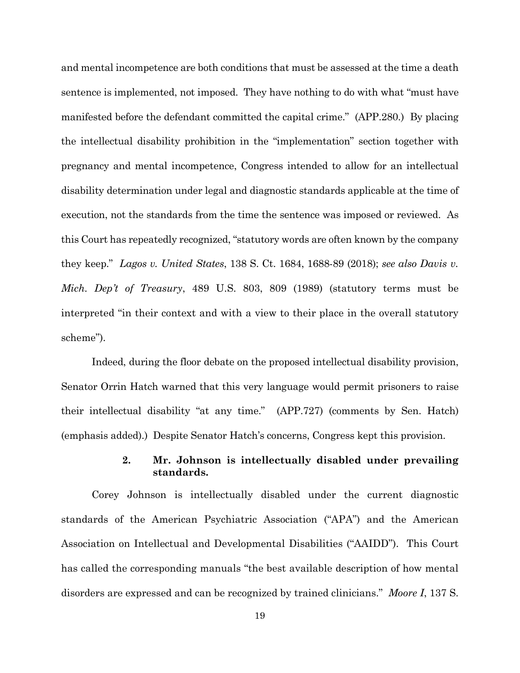and mental incompetence are both conditions that must be assessed at the time a death sentence is implemented, not imposed. They have nothing to do with what "must have manifested before the defendant committed the capital crime." (APP.280.) By placing the intellectual disability prohibition in the "implementation" section together with pregnancy and mental incompetence, Congress intended to allow for an intellectual disability determination under legal and diagnostic standards applicable at the time of execution, not the standards from the time the sentence was imposed or reviewed. As this Court has repeatedly recognized, "statutory words are often known by the company they keep." *Lagos v. United States*, 138 S. Ct. 1684, 1688-89 (2018); *see also Davis v. Mich. Dep't of Treasury*, 489 U.S. 803, 809 (1989) (statutory terms must be interpreted "in their context and with a view to their place in the overall statutory scheme").

Indeed, during the floor debate on the proposed intellectual disability provision, Senator Orrin Hatch warned that this very language would permit prisoners to raise their intellectual disability "at any time." (APP.727) (comments by Sen. Hatch) (emphasis added).) Despite Senator Hatch's concerns, Congress kept this provision.

#### **2. Mr. Johnson is intellectually disabled under prevailing standards.**

Corey Johnson is intellectually disabled under the current diagnostic standards of the American Psychiatric Association ("APA") and the American Association on Intellectual and Developmental Disabilities ("AAIDD"). This Court has called the corresponding manuals "the best available description of how mental disorders are expressed and can be recognized by trained clinicians." *Moore I*, 137 S.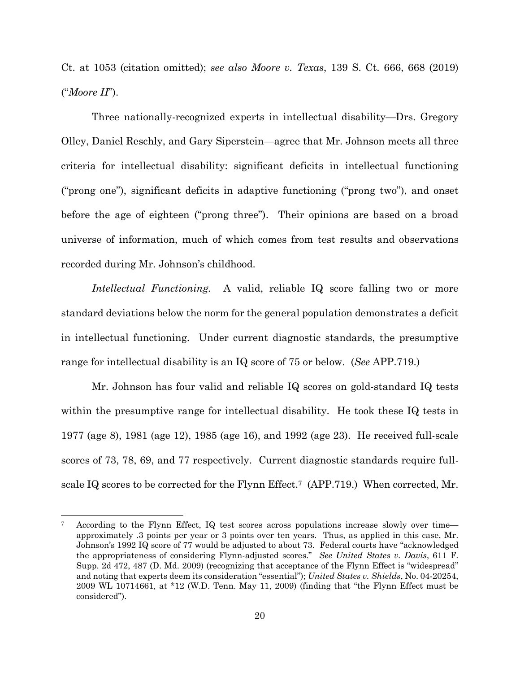Ct. at 1053 (citation omitted); *see also Moore v. Texas*, 139 S. Ct. 666, 668 (2019) ("*Moore II*").

Three nationally-recognized experts in intellectual disability—Drs. Gregory Olley, Daniel Reschly, and Gary Siperstein—agree that Mr. Johnson meets all three criteria for intellectual disability: significant deficits in intellectual functioning ("prong one"), significant deficits in adaptive functioning ("prong two"), and onset before the age of eighteen ("prong three"). Their opinions are based on a broad universe of information, much of which comes from test results and observations recorded during Mr. Johnson's childhood.

*Intellectual Functioning.* A valid, reliable IQ score falling two or more standard deviations below the norm for the general population demonstrates a deficit in intellectual functioning. Under current diagnostic standards, the presumptive range for intellectual disability is an IQ score of 75 or below. (*See* APP.719.)

Mr. Johnson has four valid and reliable IQ scores on gold-standard IQ tests within the presumptive range for intellectual disability. He took these IQ tests in 1977 (age 8), 1981 (age 12), 1985 (age 16), and 1992 (age 23). He received full-scale scores of 73, 78, 69, and 77 respectively. Current diagnostic standards require fullscale IQ scores to be corrected for the Flynn Effect.<sup>7</sup> (APP.719.) When corrected, Mr.

According to the Flynn Effect, IQ test scores across populations increase slowly over time approximately .3 points per year or 3 points over ten years. Thus, as applied in this case, Mr. Johnson's 1992 IQ score of 77 would be adjusted to about 73. Federal courts have "acknowledged the appropriateness of considering Flynn-adjusted scores." *See United States v. Davis*, 611 F. Supp. 2d 472, 487 (D. Md. 2009) (recognizing that acceptance of the Flynn Effect is "widespread" and noting that experts deem its consideration "essential"); *United States v. Shields*, No. 04-20254, 2009 WL 10714661, at \*12 (W.D. Tenn. May 11, 2009) (finding that "the Flynn Effect must be considered").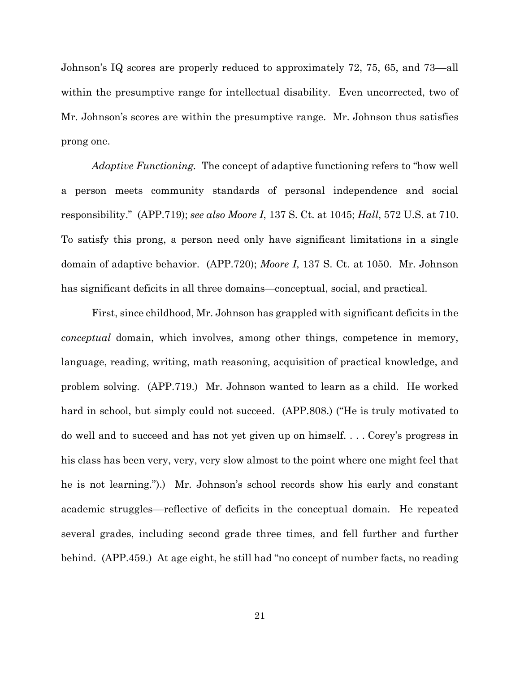Johnson's IQ scores are properly reduced to approximately 72, 75, 65, and 73––all within the presumptive range for intellectual disability. Even uncorrected, two of Mr. Johnson's scores are within the presumptive range. Mr. Johnson thus satisfies prong one.

*Adaptive Functioning.* The concept of adaptive functioning refers to "how well a person meets community standards of personal independence and social responsibility." (APP.719); *see also Moore I*, 137 S. Ct. at 1045; *Hall*, 572 U.S. at 710. To satisfy this prong, a person need only have significant limitations in a single domain of adaptive behavior. (APP.720); *Moore I*, 137 S. Ct. at 1050. Mr. Johnson has significant deficits in all three domains—conceptual, social, and practical.

First, since childhood, Mr. Johnson has grappled with significant deficits in the *conceptual* domain, which involves, among other things, competence in memory, language, reading, writing, math reasoning, acquisition of practical knowledge, and problem solving. (APP.719.) Mr. Johnson wanted to learn as a child. He worked hard in school, but simply could not succeed. (APP.808.) ("He is truly motivated to do well and to succeed and has not yet given up on himself. . . . Corey's progress in his class has been very, very, very slow almost to the point where one might feel that he is not learning.").) Mr. Johnson's school records show his early and constant academic struggles––reflective of deficits in the conceptual domain. He repeated several grades, including second grade three times, and fell further and further behind. (APP.459.) At age eight, he still had "no concept of number facts, no reading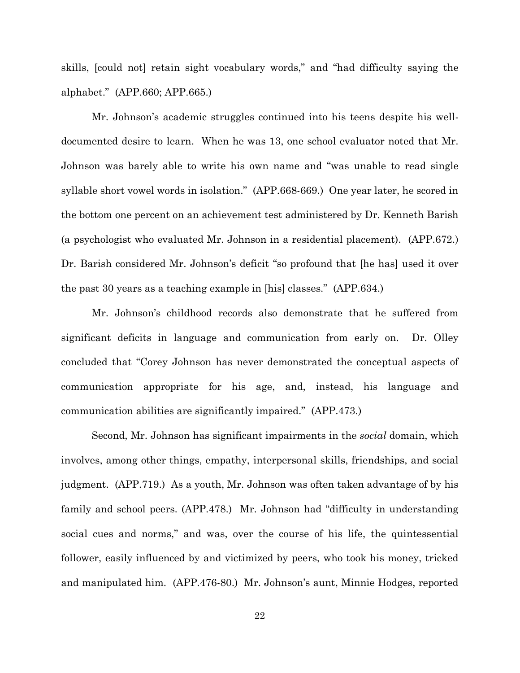skills, [could not] retain sight vocabulary words," and "had difficulty saying the alphabet." (APP.660; APP.665.)

Mr. Johnson's academic struggles continued into his teens despite his welldocumented desire to learn. When he was 13, one school evaluator noted that Mr. Johnson was barely able to write his own name and "was unable to read single syllable short vowel words in isolation." (APP.668-669.) One year later, he scored in the bottom one percent on an achievement test administered by Dr. Kenneth Barish (a psychologist who evaluated Mr. Johnson in a residential placement). (APP.672.) Dr. Barish considered Mr. Johnson's deficit "so profound that [he has] used it over the past 30 years as a teaching example in [his] classes." (APP.634.)

Mr. Johnson's childhood records also demonstrate that he suffered from significant deficits in language and communication from early on. Dr. Olley concluded that "Corey Johnson has never demonstrated the conceptual aspects of communication appropriate for his age, and, instead, his language and communication abilities are significantly impaired." (APP.473.)

Second, Mr. Johnson has significant impairments in the *social* domain, which involves, among other things, empathy, interpersonal skills, friendships, and social judgment. (APP.719.) As a youth, Mr. Johnson was often taken advantage of by his family and school peers. (APP.478.) Mr. Johnson had "difficulty in understanding social cues and norms," and was, over the course of his life, the quintessential follower, easily influenced by and victimized by peers, who took his money, tricked and manipulated him. (APP.476-80.) Mr. Johnson's aunt, Minnie Hodges, reported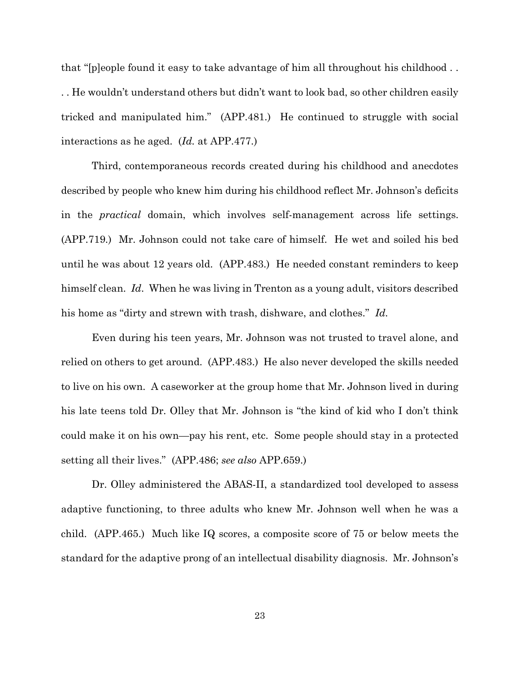that "[p]eople found it easy to take advantage of him all throughout his childhood . . . . He wouldn't understand others but didn't want to look bad, so other children easily tricked and manipulated him." (APP.481.) He continued to struggle with social interactions as he aged. (*Id.* at APP.477.)

Third, contemporaneous records created during his childhood and anecdotes described by people who knew him during his childhood reflect Mr. Johnson's deficits in the *practical* domain, which involves self-management across life settings. (APP.719.) Mr. Johnson could not take care of himself. He wet and soiled his bed until he was about 12 years old. (APP.483.) He needed constant reminders to keep himself clean. *Id*. When he was living in Trenton as a young adult, visitors described his home as "dirty and strewn with trash, dishware, and clothes." *Id.*

Even during his teen years, Mr. Johnson was not trusted to travel alone, and relied on others to get around. (APP.483.) He also never developed the skills needed to live on his own. A caseworker at the group home that Mr. Johnson lived in during his late teens told Dr. Olley that Mr. Johnson is "the kind of kid who I don't think could make it on his own—pay his rent, etc. Some people should stay in a protected setting all their lives." (APP.486; *see also* APP.659.)

Dr. Olley administered the ABAS-II, a standardized tool developed to assess adaptive functioning, to three adults who knew Mr. Johnson well when he was a child. (APP.465.) Much like IQ scores, a composite score of 75 or below meets the standard for the adaptive prong of an intellectual disability diagnosis. Mr. Johnson's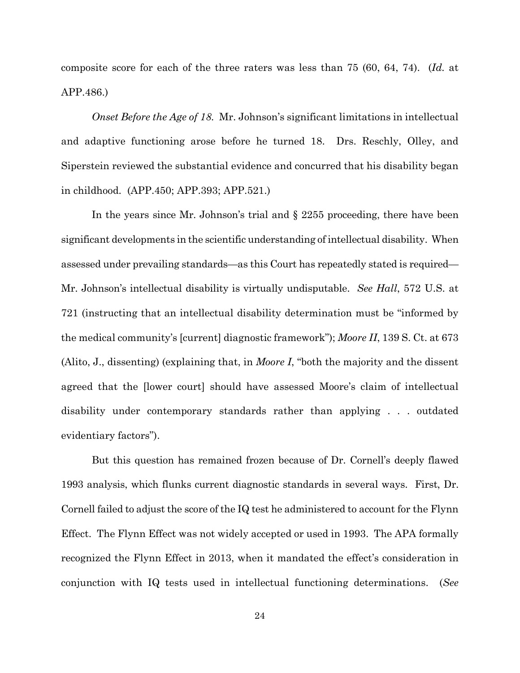composite score for each of the three raters was less than 75 (60, 64, 74). (*Id.* at APP.486.)

*Onset Before the Age of 18.* Mr. Johnson's significant limitations in intellectual and adaptive functioning arose before he turned 18. Drs. Reschly, Olley, and Siperstein reviewed the substantial evidence and concurred that his disability began in childhood. (APP.450; APP.393; APP.521.)

In the years since Mr. Johnson's trial and § 2255 proceeding, there have been significant developments in the scientific understanding of intellectual disability. When assessed under prevailing standards—as this Court has repeatedly stated is required— Mr. Johnson's intellectual disability is virtually undisputable. *See Hall*, 572 U.S. at 721 (instructing that an intellectual disability determination must be "informed by the medical community's [current] diagnostic framework"); *Moore II*, 139 S. Ct. at 673 (Alito, J., dissenting) (explaining that, in *Moore I*, "both the majority and the dissent agreed that the [lower court] should have assessed Moore's claim of intellectual disability under contemporary standards rather than applying . . . outdated evidentiary factors").

But this question has remained frozen because of Dr. Cornell's deeply flawed 1993 analysis, which flunks current diagnostic standards in several ways. First, Dr. Cornell failed to adjust the score of the IQ test he administered to account for the Flynn Effect. The Flynn Effect was not widely accepted or used in 1993. The APA formally recognized the Flynn Effect in 2013, when it mandated the effect's consideration in conjunction with IQ tests used in intellectual functioning determinations. (*See*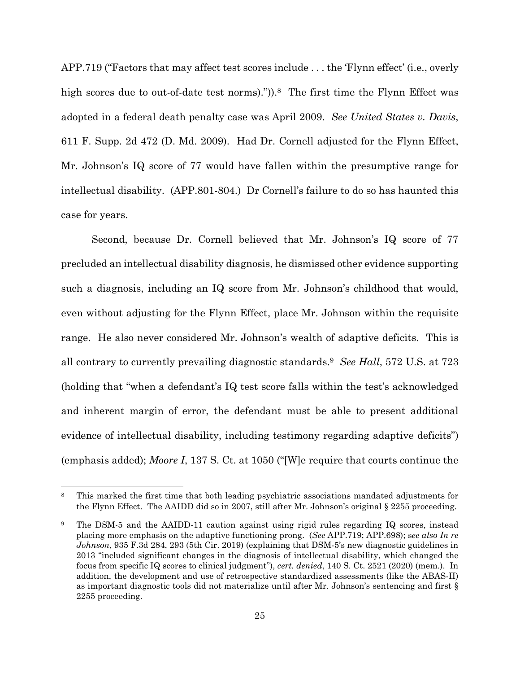APP.719 ("Factors that may affect test scores include . . . the 'Flynn effect' (i.e., overly high scores due to out-of-date test norms).")).<sup>8</sup> The first time the Flynn Effect was adopted in a federal death penalty case was April 2009. *See United States v. Davis*, 611 F. Supp. 2d 472 (D. Md. 2009). Had Dr. Cornell adjusted for the Flynn Effect, Mr. Johnson's IQ score of 77 would have fallen within the presumptive range for intellectual disability. (APP.801-804.) Dr Cornell's failure to do so has haunted this case for years.

Second, because Dr. Cornell believed that Mr. Johnson's IQ score of 77 precluded an intellectual disability diagnosis, he dismissed other evidence supporting such a diagnosis, including an IQ score from Mr. Johnson's childhood that would, even without adjusting for the Flynn Effect, place Mr. Johnson within the requisite range. He also never considered Mr. Johnson's wealth of adaptive deficits. This is all contrary to currently prevailing diagnostic standards.<sup>9</sup> *See Hall*, 572 U.S. at 723 (holding that "when a defendant's IQ test score falls within the test's acknowledged and inherent margin of error, the defendant must be able to present additional evidence of intellectual disability, including testimony regarding adaptive deficits") (emphasis added); *Moore I*, 137 S. Ct. at 1050 ("[W]e require that courts continue the

<sup>&</sup>lt;sup>8</sup> This marked the first time that both leading psychiatric associations mandated adjustments for the Flynn Effect. The AAIDD did so in 2007, still after Mr. Johnson's original § 2255 proceeding.

<sup>9</sup> The DSM-5 and the AAIDD-11 caution against using rigid rules regarding IQ scores, instead placing more emphasis on the adaptive functioning prong. (*See* APP.719; APP.698); s*ee also In re Johnson*, 935 F.3d 284, 293 (5th Cir. 2019) (explaining that DSM-5's new diagnostic guidelines in 2013 "included significant changes in the diagnosis of intellectual disability, which changed the focus from specific IQ scores to clinical judgment"), *cert. denied*, 140 S. Ct. 2521 (2020) (mem.). In addition, the development and use of retrospective standardized assessments (like the ABAS-II) as important diagnostic tools did not materialize until after Mr. Johnson's sentencing and first § 2255 proceeding.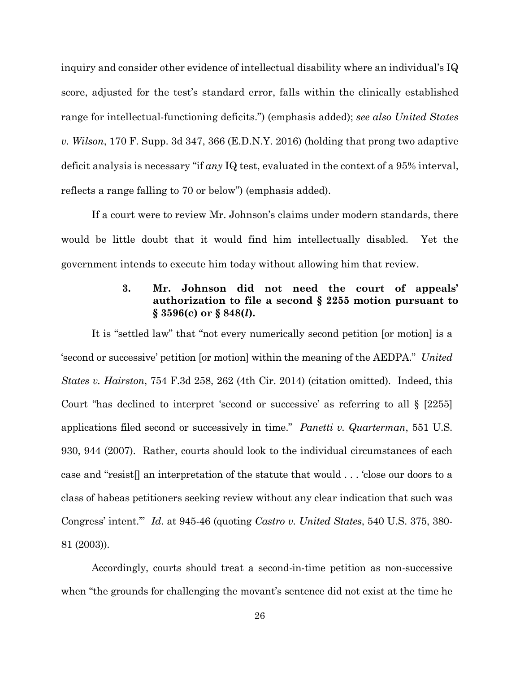inquiry and consider other evidence of intellectual disability where an individual's IQ score, adjusted for the test's standard error, falls within the clinically established range for intellectual-functioning deficits.") (emphasis added); *see also United States v. Wilson*, 170 F. Supp. 3d 347, 366 (E.D.N.Y. 2016) (holding that prong two adaptive deficit analysis is necessary "if *any* IQ test, evaluated in the context of a 95% interval, reflects a range falling to 70 or below") (emphasis added).

If a court were to review Mr. Johnson's claims under modern standards, there would be little doubt that it would find him intellectually disabled. Yet the government intends to execute him today without allowing him that review.

### **3. Mr. Johnson did not need the court of appeals' authorization to file a second § 2255 motion pursuant to § 3596(c) or § 848(***l***).**

It is "settled law" that "not every numerically second petition [or motion] is a 'second or successive' petition [or motion] within the meaning of the AEDPA." *United States v. Hairston*, 754 F.3d 258, 262 (4th Cir. 2014) (citation omitted). Indeed, this Court "has declined to interpret 'second or successive' as referring to all § [2255] applications filed second or successively in time." *Panetti v. Quarterman*, 551 U.S. 930, 944 (2007). Rather, courts should look to the individual circumstances of each case and "resist[] an interpretation of the statute that would . . . 'close our doors to a class of habeas petitioners seeking review without any clear indication that such was Congress' intent.'" *Id*. at 945-46 (quoting *Castro v. United States*, 540 U.S. 375, 380- 81 (2003)).

Accordingly, courts should treat a second-in-time petition as non-successive when "the grounds for challenging the movant's sentence did not exist at the time he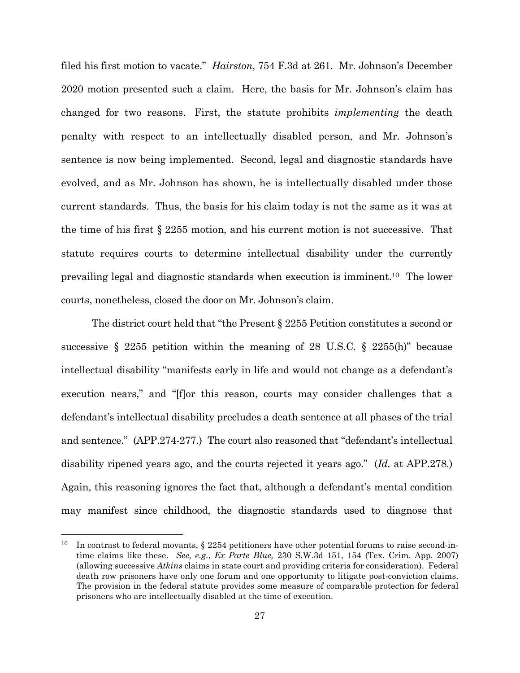filed his first motion to vacate." *Hairston*, 754 F.3d at 261. Mr. Johnson's December 2020 motion presented such a claim. Here, the basis for Mr. Johnson's claim has changed for two reasons. First, the statute prohibits *implementing* the death penalty with respect to an intellectually disabled person, and Mr. Johnson's sentence is now being implemented. Second, legal and diagnostic standards have evolved, and as Mr. Johnson has shown, he is intellectually disabled under those current standards. Thus, the basis for his claim today is not the same as it was at the time of his first § 2255 motion, and his current motion is not successive. That statute requires courts to determine intellectual disability under the currently prevailing legal and diagnostic standards when execution is imminent.10 The lower courts, nonetheless, closed the door on Mr. Johnson's claim.

The district court held that "the Present § 2255 Petition constitutes a second or successive  $\S$  2255 petition within the meaning of 28 U.S.C.  $\S$  2255(h)" because intellectual disability "manifests early in life and would not change as a defendant's execution nears," and "[f]or this reason, courts may consider challenges that a defendant's intellectual disability precludes a death sentence at all phases of the trial and sentence." (APP.274-277.) The court also reasoned that "defendant's intellectual disability ripened years ago, and the courts rejected it years ago." (*Id.* at APP.278.) Again, this reasoning ignores the fact that, although a defendant's mental condition may manifest since childhood, the diagnostic standards used to diagnose that

<sup>&</sup>lt;sup>10</sup> In contrast to federal movants,  $\S 2254$  petitioners have other potential forums to raise second-intime claims like these. *See, e.g.*, *Ex Parte Blue,* 230 S.W.3d 151, 154 (Tex. Crim. App. 2007) (allowing successive *Atkins* claims in state court and providing criteria for consideration). Federal death row prisoners have only one forum and one opportunity to litigate post-conviction claims. The provision in the federal statute provides some measure of comparable protection for federal prisoners who are intellectually disabled at the time of execution.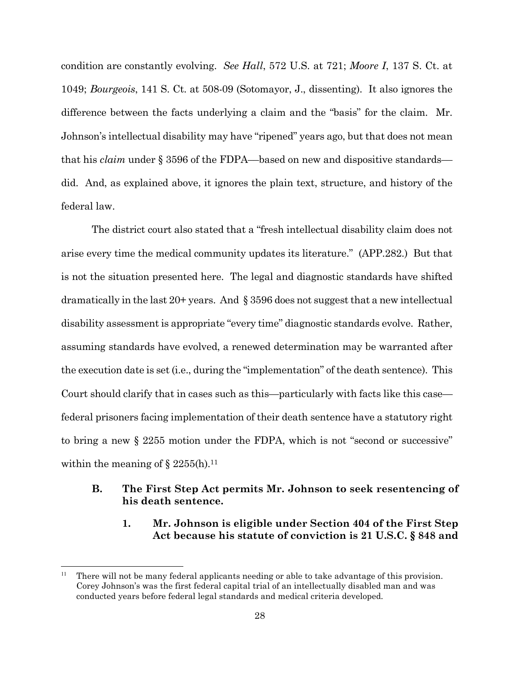condition are constantly evolving. *See Hall*, 572 U.S. at 721; *Moore I*, 137 S. Ct. at 1049; *Bourgeois*, 141 S. Ct. at 508-09 (Sotomayor, J., dissenting). It also ignores the difference between the facts underlying a claim and the "basis" for the claim. Mr. Johnson's intellectual disability may have "ripened" years ago, but that does not mean that his *claim* under § 3596 of the FDPA––based on new and dispositive standards–– did. And, as explained above, it ignores the plain text, structure, and history of the federal law.

The district court also stated that a "fresh intellectual disability claim does not arise every time the medical community updates its literature." (APP.282.) But that is not the situation presented here. The legal and diagnostic standards have shifted dramatically in the last 20+ years. And § 3596 does not suggest that a new intellectual disability assessment is appropriate "every time" diagnostic standards evolve. Rather, assuming standards have evolved, a renewed determination may be warranted after the execution date is set (i.e., during the "implementation" of the death sentence). This Court should clarify that in cases such as this—particularly with facts like this case federal prisoners facing implementation of their death sentence have a statutory right to bring a new § 2255 motion under the FDPA, which is not "second or successive" within the meaning of  $\S$  2255(h).<sup>11</sup>

### **B. The First Step Act permits Mr. Johnson to seek resentencing of his death sentence.**

### **1. Mr. Johnson is eligible under Section 404 of the First Step Act because his statute of conviction is 21 U.S.C. § 848 and**

<sup>&</sup>lt;sup>11</sup> There will not be many federal applicants needing or able to take advantage of this provision. Corey Johnson's was the first federal capital trial of an intellectually disabled man and was conducted years before federal legal standards and medical criteria developed.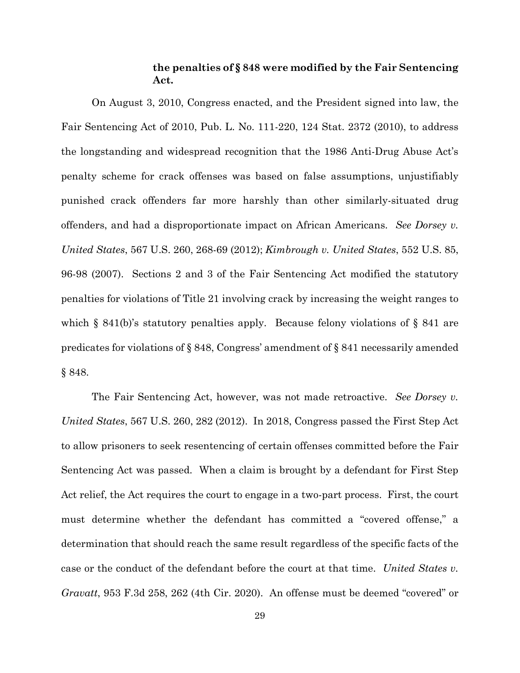#### **the penalties of § 848 were modified by the Fair Sentencing Act.**

On August 3, 2010, Congress enacted, and the President signed into law, the Fair Sentencing Act of 2010, Pub. L. No. 111-220, 124 Stat. 2372 (2010), to address the longstanding and widespread recognition that the 1986 Anti-Drug Abuse Act's penalty scheme for crack offenses was based on false assumptions, unjustifiably punished crack offenders far more harshly than other similarly-situated drug offenders, and had a disproportionate impact on African Americans. *See Dorsey v. United States*, 567 U.S. 260, 268-69 (2012); *Kimbrough v. United States*, 552 U.S. 85, 96-98 (2007). Sections 2 and 3 of the Fair Sentencing Act modified the statutory penalties for violations of Title 21 involving crack by increasing the weight ranges to which  $\S$  841(b)'s statutory penalties apply. Because felony violations of  $\S$  841 are predicates for violations of § 848, Congress' amendment of § 841 necessarily amended § 848.

The Fair Sentencing Act, however, was not made retroactive. *See Dorsey v. United States*, 567 U.S. 260, 282 (2012). In 2018, Congress passed the First Step Act to allow prisoners to seek resentencing of certain offenses committed before the Fair Sentencing Act was passed. When a claim is brought by a defendant for First Step Act relief, the Act requires the court to engage in a two-part process. First, the court must determine whether the defendant has committed a "covered offense," a determination that should reach the same result regardless of the specific facts of the case or the conduct of the defendant before the court at that time. *United States v. Gravatt*, 953 F.3d 258, 262 (4th Cir. 2020). An offense must be deemed "covered" or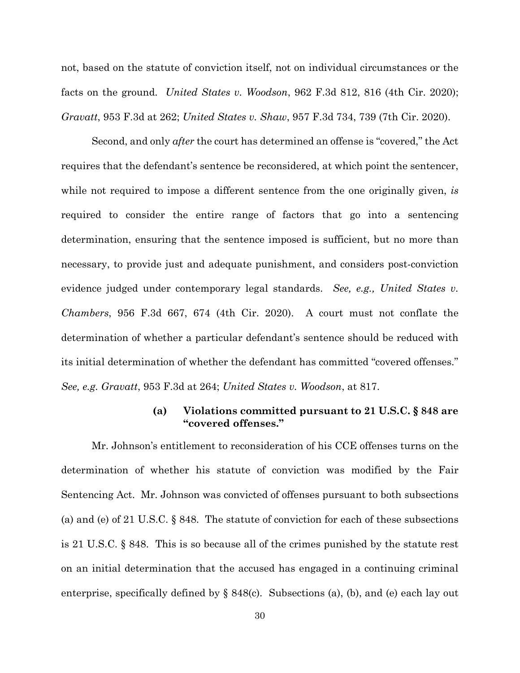not, based on the statute of conviction itself, not on individual circumstances or the facts on the ground. *United States v. Woodson*, 962 F.3d 812, 816 (4th Cir. 2020); *Gravatt*, 953 F.3d at 262; *United States v. Shaw*, 957 F.3d 734, 739 (7th Cir. 2020).

Second, and only *after* the court has determined an offense is "covered," the Act requires that the defendant's sentence be reconsidered, at which point the sentencer, while not required to impose a different sentence from the one originally given, *is* required to consider the entire range of factors that go into a sentencing determination, ensuring that the sentence imposed is sufficient, but no more than necessary, to provide just and adequate punishment, and considers post-conviction evidence judged under contemporary legal standards. *See, e.g., United States v. Chambers*, 956 F.3d 667, 674 (4th Cir. 2020). A court must not conflate the determination of whether a particular defendant's sentence should be reduced with its initial determination of whether the defendant has committed "covered offenses." *See, e.g. Gravatt*, 953 F.3d at 264; *United States v. Woodson*, at 817.

#### **(a) Violations committed pursuant to 21 U.S.C. § 848 are "covered offenses."**

Mr. Johnson's entitlement to reconsideration of his CCE offenses turns on the determination of whether his statute of conviction was modified by the Fair Sentencing Act. Mr. Johnson was convicted of offenses pursuant to both subsections (a) and (e) of 21 U.S.C. § 848. The statute of conviction for each of these subsections is 21 U.S.C. § 848. This is so because all of the crimes punished by the statute rest on an initial determination that the accused has engaged in a continuing criminal enterprise, specifically defined by  $\S 848(c)$ . Subsections (a), (b), and (e) each lay out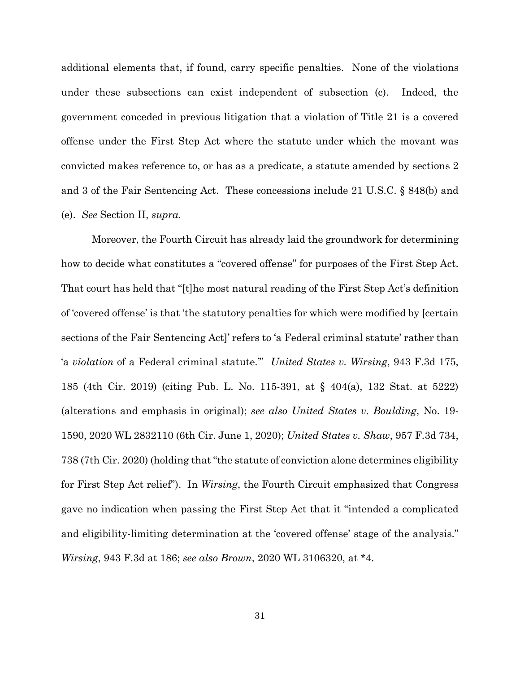additional elements that, if found, carry specific penalties. None of the violations under these subsections can exist independent of subsection (c). Indeed, the government conceded in previous litigation that a violation of Title 21 is a covered offense under the First Step Act where the statute under which the movant was convicted makes reference to, or has as a predicate, a statute amended by sections 2 and 3 of the Fair Sentencing Act. These concessions include 21 U.S.C. § 848(b) and (e). *See* Section II, *supra.*

Moreover, the Fourth Circuit has already laid the groundwork for determining how to decide what constitutes a "covered offense" for purposes of the First Step Act. That court has held that "[t]he most natural reading of the First Step Act's definition of 'covered offense' is that 'the statutory penalties for which were modified by [certain sections of the Fair Sentencing Act]' refers to 'a Federal criminal statute' rather than 'a *violation* of a Federal criminal statute.'" *United States v. Wirsing*, 943 F.3d 175, 185 (4th Cir. 2019) (citing Pub. L. No. 115-391, at § 404(a), 132 Stat. at 5222) (alterations and emphasis in original); *see also United States v. Boulding*, No. 19- 1590, 2020 WL 2832110 (6th Cir. June 1, 2020); *United States v. Shaw*, 957 F.3d 734, 738 (7th Cir. 2020) (holding that "the statute of conviction alone determines eligibility for First Step Act relief"). In *Wirsing*, the Fourth Circuit emphasized that Congress gave no indication when passing the First Step Act that it "intended a complicated and eligibility-limiting determination at the 'covered offense' stage of the analysis." *Wirsing*, 943 F.3d at 186; *see also Brown*, 2020 WL 3106320, at \*4.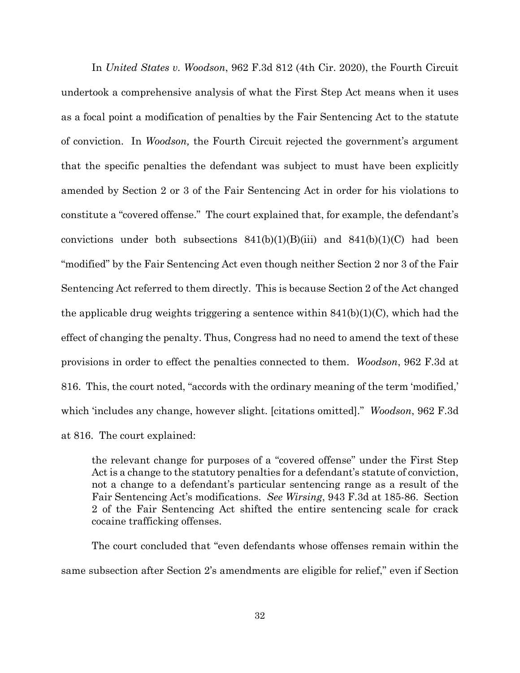In *United States v. Woodson*, 962 F.3d 812 (4th Cir. 2020), the Fourth Circuit undertook a comprehensive analysis of what the First Step Act means when it uses as a focal point a modification of penalties by the Fair Sentencing Act to the statute of conviction. In *Woodson,* the Fourth Circuit rejected the government's argument that the specific penalties the defendant was subject to must have been explicitly amended by Section 2 or 3 of the Fair Sentencing Act in order for his violations to constitute a "covered offense." The court explained that, for example, the defendant's convictions under both subsections  $841(b)(1)(B)(iii)$  and  $841(b)(1)(C)$  had been "modified" by the Fair Sentencing Act even though neither Section 2 nor 3 of the Fair Sentencing Act referred to them directly. This is because Section 2 of the Act changed the applicable drug weights triggering a sentence within 841(b)(1)(C), which had the effect of changing the penalty. Thus, Congress had no need to amend the text of these provisions in order to effect the penalties connected to them. *Woodson*, 962 F.3d at 816. This, the court noted, "accords with the ordinary meaning of the term 'modified,' which 'includes any change, however slight. [citations omitted]." *Woodson*, 962 F.3d at 816. The court explained:

the relevant change for purposes of a "covered offense" under the First Step Act is a change to the statutory penalties for a defendant's statute of conviction, not a change to a defendant's particular sentencing range as a result of the Fair Sentencing Act's modifications. *See Wirsing*, 943 F.3d at 185-86. Section 2 of the Fair Sentencing Act shifted the entire sentencing scale for crack cocaine trafficking offenses.

The court concluded that "even defendants whose offenses remain within the same subsection after Section 2's amendments are eligible for relief," even if Section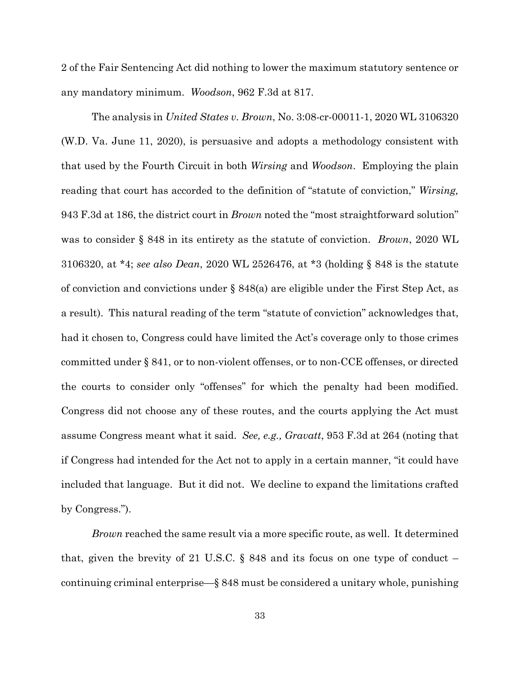2 of the Fair Sentencing Act did nothing to lower the maximum statutory sentence or any mandatory minimum. *Woodson*, 962 F.3d at 817.

The analysis in *United States v. Brown*, No. 3:08-cr-00011-1, 2020 WL 3106320 (W.D. Va. June 11, 2020), is persuasive and adopts a methodology consistent with that used by the Fourth Circuit in both *Wirsing* and *Woodson*. Employing the plain reading that court has accorded to the definition of "statute of conviction," *Wirsing,*  943 F.3d at 186, the district court in *Brown* noted the "most straightforward solution" was to consider § 848 in its entirety as the statute of conviction. *Brown*, 2020 WL 3106320, at \*4; *see also Dean*, 2020 WL 2526476, at \*3 (holding § 848 is the statute of conviction and convictions under  $\S 848(a)$  are eligible under the First Step Act, as a result). This natural reading of the term "statute of conviction" acknowledges that, had it chosen to, Congress could have limited the Act's coverage only to those crimes committed under § 841, or to non-violent offenses, or to non-CCE offenses, or directed the courts to consider only "offenses" for which the penalty had been modified. Congress did not choose any of these routes, and the courts applying the Act must assume Congress meant what it said. *See, e.g., Gravatt*, 953 F.3d at 264 (noting that if Congress had intended for the Act not to apply in a certain manner, "it could have included that language. But it did not. We decline to expand the limitations crafted by Congress.").

*Brown* reached the same result via a more specific route, as well. It determined that, given the brevity of 21 U.S.C.  $\S$  848 and its focus on one type of conduct – continuing criminal enterprise—§ 848 must be considered a unitary whole, punishing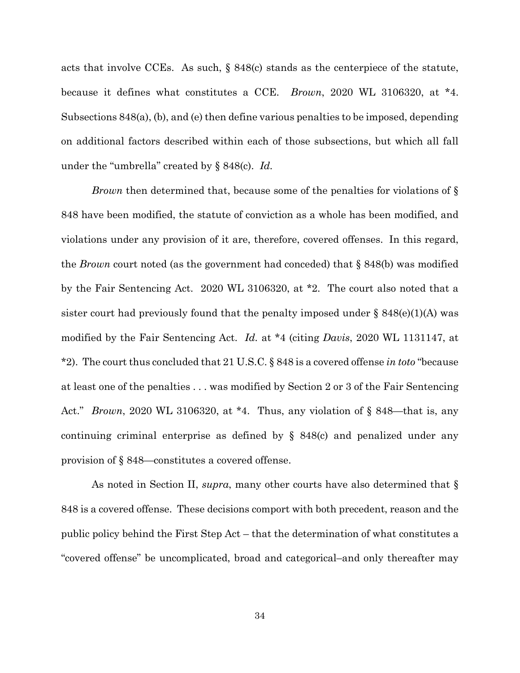acts that involve CCEs. As such, § 848(c) stands as the centerpiece of the statute, because it defines what constitutes a CCE. *Brown*, 2020 WL 3106320, at \*4. Subsections 848(a), (b), and (e) then define various penalties to be imposed, depending on additional factors described within each of those subsections, but which all fall under the "umbrella" created by § 848(c). *Id.*

*Brown* then determined that, because some of the penalties for violations of § 848 have been modified, the statute of conviction as a whole has been modified, and violations under any provision of it are, therefore, covered offenses. In this regard, the *Brown* court noted (as the government had conceded) that § 848(b) was modified by the Fair Sentencing Act. 2020 WL 3106320, at \*2. The court also noted that a sister court had previously found that the penalty imposed under  $\S$  848(e)(1)(A) was modified by the Fair Sentencing Act. *Id.* at \*4 (citing *Davis*, 2020 WL 1131147, at \*2). The court thus concluded that 21 U.S.C. § 848 is a covered offense *in toto* "because at least one of the penalties . . . was modified by Section 2 or 3 of the Fair Sentencing Act." *Brown*, 2020 WL 3106320, at \*4. Thus, any violation of § 848—that is, any continuing criminal enterprise as defined by § 848(c) and penalized under any provision of § 848—constitutes a covered offense.

As noted in Section II, *supra*, many other courts have also determined that § 848 is a covered offense. These decisions comport with both precedent, reason and the public policy behind the First Step Act – that the determination of what constitutes a "covered offense" be uncomplicated, broad and categorical–and only thereafter may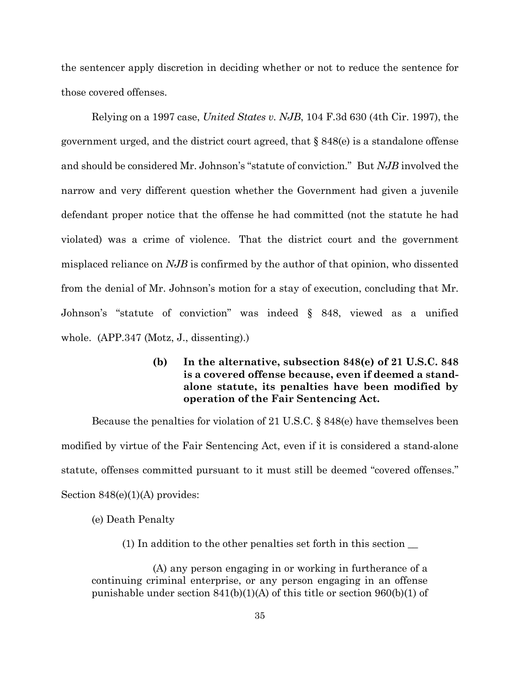the sentencer apply discretion in deciding whether or not to reduce the sentence for those covered offenses.

Relying on a 1997 case, *United States v. NJB*, 104 F.3d 630 (4th Cir. 1997), the government urged, and the district court agreed, that  $\S 848(e)$  is a standalone offense and should be considered Mr. Johnson's "statute of conviction." But *NJB* involved the narrow and very different question whether the Government had given a juvenile defendant proper notice that the offense he had committed (not the statute he had violated) was a crime of violence. That the district court and the government misplaced reliance on *NJB* is confirmed by the author of that opinion, who dissented from the denial of Mr. Johnson's motion for a stay of execution, concluding that Mr. Johnson's "statute of conviction" was indeed § 848, viewed as a unified whole. (APP.347 (Motz, J., dissenting).)

> **(b) In the alternative, subsection 848(e) of 21 U.S.C. 848 is a covered offense because, even if deemed a standalone statute, its penalties have been modified by operation of the Fair Sentencing Act.**

Because the penalties for violation of 21 U.S.C. § 848(e) have themselves been modified by virtue of the Fair Sentencing Act, even if it is considered a stand-alone statute, offenses committed pursuant to it must still be deemed "covered offenses." Section 848(e)(1)(A) provides:

(e) Death Penalty

(1) In addition to the other penalties set forth in this section \_\_

(A) any person engaging in or working in furtherance of a continuing criminal enterprise, or any person engaging in an offense punishable under section  $841(b)(1)(A)$  of this title or section  $960(b)(1)$  of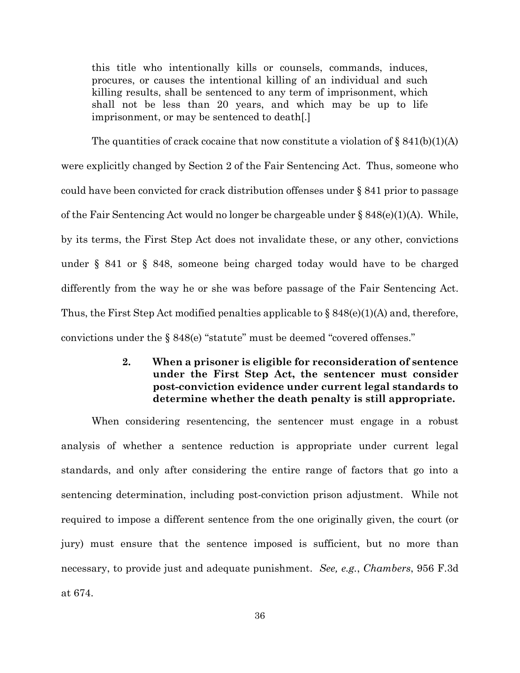this title who intentionally kills or counsels, commands, induces, procures, or causes the intentional killing of an individual and such killing results, shall be sentenced to any term of imprisonment, which shall not be less than 20 years, and which may be up to life imprisonment, or may be sentenced to death[.]

The quantities of crack cocaine that now constitute a violation of  $\S 841(b)(1)(A)$ were explicitly changed by Section 2 of the Fair Sentencing Act. Thus, someone who could have been convicted for crack distribution offenses under § 841 prior to passage of the Fair Sentencing Act would no longer be chargeable under  $\S 848(e)(1)(A)$ . While, by its terms, the First Step Act does not invalidate these, or any other, convictions under § 841 or § 848, someone being charged today would have to be charged differently from the way he or she was before passage of the Fair Sentencing Act. Thus, the First Step Act modified penalties applicable to  $\S 848(e)(1)(A)$  and, therefore, convictions under the § 848(e) "statute" must be deemed "covered offenses."

## **2. When a prisoner is eligible for reconsideration of sentence under the First Step Act, the sentencer must consider post-conviction evidence under current legal standards to determine whether the death penalty is still appropriate.**

When considering resentencing, the sentencer must engage in a robust analysis of whether a sentence reduction is appropriate under current legal standards, and only after considering the entire range of factors that go into a sentencing determination, including post-conviction prison adjustment. While not required to impose a different sentence from the one originally given, the court (or jury) must ensure that the sentence imposed is sufficient, but no more than necessary, to provide just and adequate punishment. *See, e.g.*, *Chambers*, 956 F.3d at 674.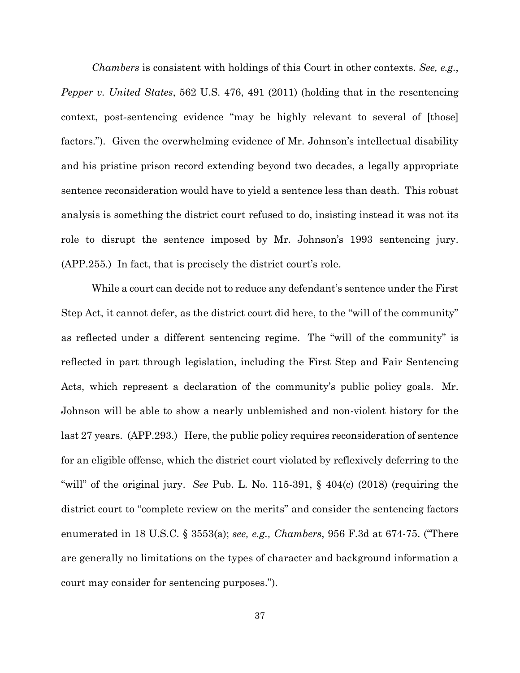*Chambers* is consistent with holdings of this Court in other contexts. *See, e.g.*, *Pepper v. United States*, 562 U.S. 476, 491 (2011) (holding that in the resentencing context, post-sentencing evidence "may be highly relevant to several of [those] factors."). Given the overwhelming evidence of Mr. Johnson's intellectual disability and his pristine prison record extending beyond two decades, a legally appropriate sentence reconsideration would have to yield a sentence less than death. This robust analysis is something the district court refused to do, insisting instead it was not its role to disrupt the sentence imposed by Mr. Johnson's 1993 sentencing jury. (APP.255.) In fact, that is precisely the district court's role.

While a court can decide not to reduce any defendant's sentence under the First Step Act, it cannot defer, as the district court did here, to the "will of the community" as reflected under a different sentencing regime. The "will of the community" is reflected in part through legislation, including the First Step and Fair Sentencing Acts, which represent a declaration of the community's public policy goals. Mr. Johnson will be able to show a nearly unblemished and non-violent history for the last 27 years. (APP.293.) Here, the public policy requires reconsideration of sentence for an eligible offense, which the district court violated by reflexively deferring to the "will" of the original jury. *See* Pub. L. No. 115-391, § 404(c) (2018) (requiring the district court to "complete review on the merits" and consider the sentencing factors enumerated in 18 U.S.C. § 3553(a); *see, e.g., Chambers*, 956 F.3d at 674-75. ("There are generally no limitations on the types of character and background information a court may consider for sentencing purposes.").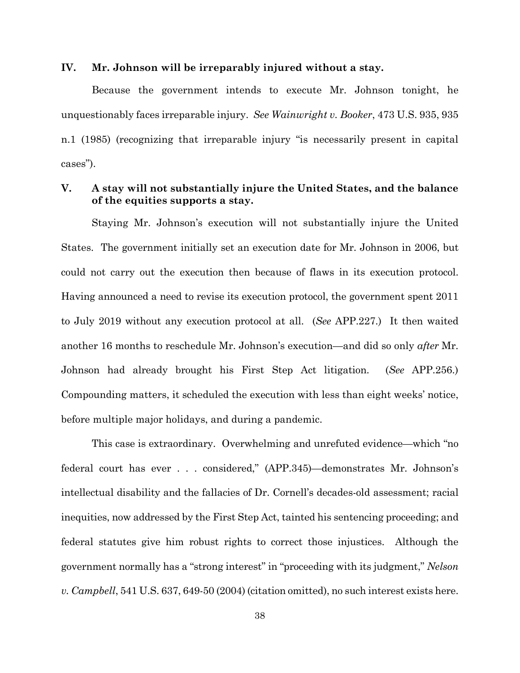#### **IV. Mr. Johnson will be irreparably injured without a stay.**

Because the government intends to execute Mr. Johnson tonight, he unquestionably faces irreparable injury. *See Wainwright v. Booker*, 473 U.S. 935, 935 n.1 (1985) (recognizing that irreparable injury "is necessarily present in capital cases").

## **V. A stay will not substantially injure the United States, and the balance of the equities supports a stay.**

Staying Mr. Johnson's execution will not substantially injure the United States. The government initially set an execution date for Mr. Johnson in 2006, but could not carry out the execution then because of flaws in its execution protocol. Having announced a need to revise its execution protocol, the government spent 2011 to July 2019 without any execution protocol at all. (*See* APP.227.) It then waited another 16 months to reschedule Mr. Johnson's execution—and did so only *after* Mr. Johnson had already brought his First Step Act litigation. (*See* APP.256.) Compounding matters, it scheduled the execution with less than eight weeks' notice, before multiple major holidays, and during a pandemic.

This case is extraordinary. Overwhelming and unrefuted evidence—which "no federal court has ever . . . considered," (APP.345)—demonstrates Mr. Johnson's intellectual disability and the fallacies of Dr. Cornell's decades-old assessment; racial inequities, now addressed by the First Step Act, tainted his sentencing proceeding; and federal statutes give him robust rights to correct those injustices. Although the government normally has a "strong interest" in "proceeding with its judgment," *Nelson v. Campbell*, 541 U.S. 637, 649-50 (2004) (citation omitted), no such interest exists here.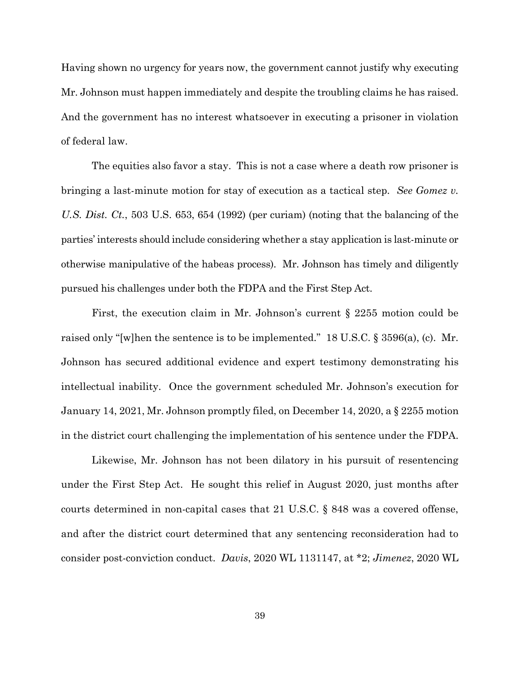Having shown no urgency for years now, the government cannot justify why executing Mr. Johnson must happen immediately and despite the troubling claims he has raised. And the government has no interest whatsoever in executing a prisoner in violation of federal law.

The equities also favor a stay. This is not a case where a death row prisoner is bringing a last-minute motion for stay of execution as a tactical step. *See Gomez v. U.S. Dist. Ct.*, 503 U.S. 653, 654 (1992) (per curiam) (noting that the balancing of the parties' interests should include considering whether a stay application is last-minute or otherwise manipulative of the habeas process). Mr. Johnson has timely and diligently pursued his challenges under both the FDPA and the First Step Act.

First, the execution claim in Mr. Johnson's current § 2255 motion could be raised only "[w]hen the sentence is to be implemented." 18 U.S.C. § 3596(a), (c). Mr. Johnson has secured additional evidence and expert testimony demonstrating his intellectual inability. Once the government scheduled Mr. Johnson's execution for January 14, 2021, Mr. Johnson promptly filed, on December 14, 2020, a § 2255 motion in the district court challenging the implementation of his sentence under the FDPA.

Likewise, Mr. Johnson has not been dilatory in his pursuit of resentencing under the First Step Act. He sought this relief in August 2020, just months after courts determined in non-capital cases that 21 U.S.C. § 848 was a covered offense, and after the district court determined that any sentencing reconsideration had to consider post-conviction conduct. *Davis*, 2020 WL 1131147, at \*2; *Jimenez*, 2020 WL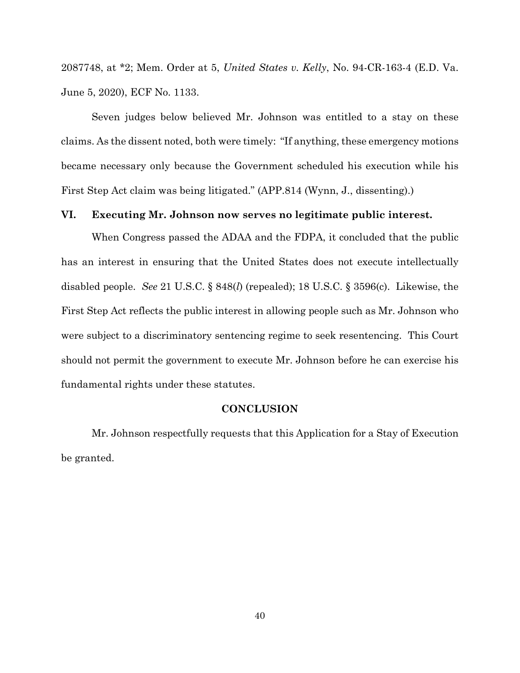2087748, at \*2; Mem. Order at 5, *United States v. Kelly*, No. 94-CR-163-4 (E.D. Va. June 5, 2020), ECF No. 1133.

Seven judges below believed Mr. Johnson was entitled to a stay on these claims. As the dissent noted, both were timely: "If anything, these emergency motions became necessary only because the Government scheduled his execution while his First Step Act claim was being litigated." (APP.814 (Wynn, J., dissenting).)

#### **VI. Executing Mr. Johnson now serves no legitimate public interest.**

When Congress passed the ADAA and the FDPA, it concluded that the public has an interest in ensuring that the United States does not execute intellectually disabled people. *See* 21 U.S.C. § 848(*l*) (repealed); 18 U.S.C. § 3596(c). Likewise, the First Step Act reflects the public interest in allowing people such as Mr. Johnson who were subject to a discriminatory sentencing regime to seek resentencing. This Court should not permit the government to execute Mr. Johnson before he can exercise his fundamental rights under these statutes.

#### **CONCLUSION**

Mr. Johnson respectfully requests that this Application for a Stay of Execution be granted.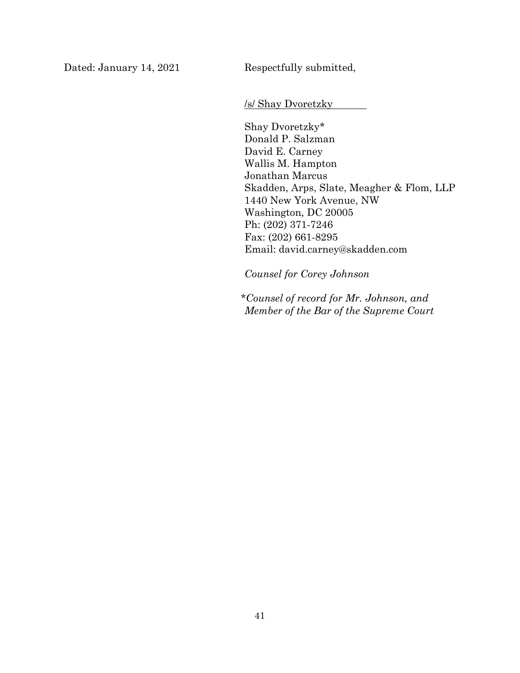Dated: January 14, 2021 Respectfully submitted,

/s/ Shay Dvoretzky

Shay Dvoretzky\* Donald P. Salzman David E. Carney Wallis M. Hampton Jonathan Marcus Skadden, Arps, Slate, Meagher & Flom, LLP 1440 New York Avenue, NW Washington, DC 20005 Ph: (202) 371-7246 Fax: (202) 661-8295 Email: david.carney@skadden.com

*Counsel for Corey Johnson* 

*\*Counsel of record for Mr. Johnson, and Member of the Bar of the Supreme Court*